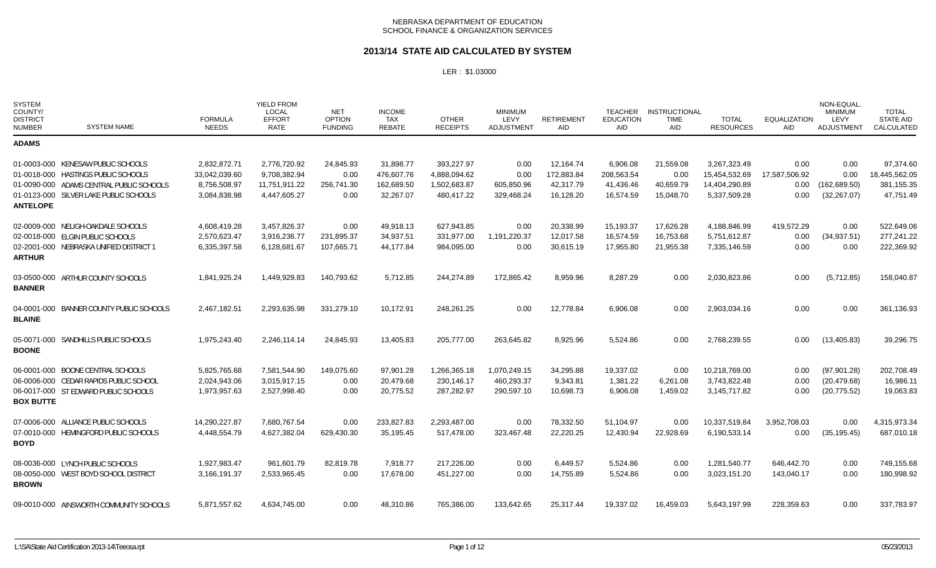### **2013/14 STATE AID CALCULATED BY SYSTEM**

| <b>SYSTEM</b><br>COUNTY/<br><b>DISTRICT</b><br><b>NUMBER</b> | <b>SYSTEM NAME</b>                                                                                                                                              | <b>FORMULA</b><br><b>NEEDS</b>                                | <b>YIELD FROM</b><br><b>LOCAL</b><br><b>EFFORT</b><br><b>RATE</b> | <b>NET</b><br><b>OPTION</b><br><b>FUNDING</b> | <b>INCOME</b><br><b>TAX</b><br><b>REBATE</b>       | <b>OTHER</b><br><b>RECEIPTS</b>                          | <b>MINIMUM</b><br>LEVY<br><b>ADJUSTMENT</b> | <b>RETIREMENT</b><br><b>AID</b>                   | <b>TEACHER</b><br><b>EDUCATION</b><br><b>AID</b> | <b>INSTRUCTIONAL</b><br><b>TIME</b><br><b>AID</b> | <b>TOTAL</b><br><b>RESOURCES</b>                               | <b>EQUALIZATION</b><br><b>AID</b>     | <b>NON-EQUAL</b><br><b>MINIMUM</b><br>LEVY<br><b>ADJUSTMENT</b> | <b>TOTAL</b><br><b>STATE AID</b><br>CALCULATED        |
|--------------------------------------------------------------|-----------------------------------------------------------------------------------------------------------------------------------------------------------------|---------------------------------------------------------------|-------------------------------------------------------------------|-----------------------------------------------|----------------------------------------------------|----------------------------------------------------------|---------------------------------------------|---------------------------------------------------|--------------------------------------------------|---------------------------------------------------|----------------------------------------------------------------|---------------------------------------|-----------------------------------------------------------------|-------------------------------------------------------|
| <b>ADAMS</b>                                                 |                                                                                                                                                                 |                                                               |                                                                   |                                               |                                                    |                                                          |                                             |                                                   |                                                  |                                                   |                                                                |                                       |                                                                 |                                                       |
| <b>ANTELOPE</b>                                              | 01-0003-000 KENESAW PUBLIC SCHOOLS<br>01-0018-000 HASTINGS PUBLIC SCHOOLS<br>01-0090-000 ADAMS CENTRAL PUBLIC SCHOOLS<br>01-0123-000 SILVER LAKE PUBLIC SCHOOLS | 2,832,872.71<br>33,042,039.60<br>8,756,508.97<br>3,084,838.98 | 2.776.720.92<br>9.708.382.94<br>11,751,911.22<br>4,447,605.27     | 24.845.93<br>0.00<br>256,741.30<br>0.00       | 31.898.77<br>476.607.76<br>162.689.50<br>32,267.07 | 393.227.97<br>4.888.094.62<br>1.502.683.87<br>480,417.22 | 0.00<br>0.00<br>605,850.96<br>329,468.24    | 12.164.74<br>172.883.84<br>42,317.79<br>16,128.20 | 6.906.08<br>208.563.54<br>41,436.46<br>16,574.59 | 21,559.08<br>0.00<br>40,659.79<br>15,048.70       | 3,267,323.49<br>15,454,532.69<br>14,404,290.89<br>5,337,509.28 | 0.00<br>17,587,506.92<br>0.00<br>0.00 | 0.00<br>0.00<br>(162, 689.50)<br>(32, 267.07)                   | 97,374.60<br>18,445,562.05<br>381,155.35<br>47,751.49 |
| <b>ARTHUR</b>                                                | 02-0009-000 NELIGH-OAKDALE SCHOOLS<br>02-0018-000 ELGIN PUBLIC SCHOOLS<br>02-2001-000 NEBRASKA UNIFIED DISTRICT 1                                               | 4,608,419.28<br>2,570,623.47<br>6,335,397.58                  | 3,457,826.37<br>3.916.236.77<br>6,128,681.67                      | 0.00<br>231,895.37<br>107,665.71              | 49,918.13<br>34,937.51<br>44,177.84                | 627,943.85<br>331.977.00<br>984,095.00                   | 0.00<br>1,191,220.37<br>0.00                | 20,338.99<br>12,017.58<br>30,615.19               | 15,193.37<br>16.574.59<br>17,955.80              | 17,626.28<br>16,753.68<br>21,955.38               | 4,188,846.99<br>5,751,612.87<br>7,335,146.59                   | 419,572.29<br>0.00<br>0.00            | 0.00<br>(34, 937.51)<br>0.00                                    | 522,649.06<br>277,241.22<br>222,369.92                |
| <b>BANNER</b>                                                | 03-0500-000 ARTHUR COUNTY SCHOOLS                                                                                                                               | 1,841,925.24                                                  | 1,449,929.83                                                      | 140,793.62                                    | 5,712.85                                           | 244,274.89                                               | 172,865.42                                  | 8,959.96                                          | 8,287.29                                         | 0.00                                              | 2,030,823.86                                                   | 0.00                                  | (5,712.85)                                                      | 158,040.87                                            |
| <b>BLAINE</b>                                                | 04-0001-000 BANNER COUNTY PUBLIC SCHOOLS                                                                                                                        | 2,467,182.51                                                  | 2,293,635.98                                                      | 331,279.10                                    | 10,172.91                                          | 248,261.25                                               | 0.00                                        | 12,778.84                                         | 6,906.08                                         | 0.00                                              | 2,903,034.16                                                   | 0.00                                  | 0.00                                                            | 361,136.93                                            |
| <b>BOONE</b>                                                 | 05-0071-000 SANDHILLS PUBLIC SCHOOLS                                                                                                                            | 1,975,243.40                                                  | 2,246,114.14                                                      | 24,845.93                                     | 13,405.83                                          | 205,777.00                                               | 263,645.82                                  | 8,925.96                                          | 5,524.86                                         | 0.00                                              | 2,768,239.55                                                   | 0.00                                  | (13, 405.83)                                                    | 39,296.75                                             |
| <b>BOX BUTTE</b>                                             | 06-0001-000 BOONE CENTRAL SCHOOLS<br>06-0006-000 CEDAR RAPIDS PUBLIC SCHOOL<br>06-0017-000 ST EDWARD PUBLIC SCHOOLS                                             | 5,825,765.68<br>2,024,943.06<br>1,973,957.63                  | 7,581,544.90<br>3,015,917.15<br>2,527,998.40                      | 149,075.60<br>0.00<br>0.00                    | 97,901.28<br>20,479.68<br>20,775.52                | 1,266,365.18<br>230,146.17<br>287,282.97                 | 1,070,249.15<br>460,293.37<br>290,597.10    | 34,295.88<br>9,343.81<br>10,698.73                | 19,337.02<br>1,381.22<br>6,906.08                | 0.00<br>6,261.08<br>1,459.02                      | 10,218,769.00<br>3,743,822.48<br>3,145,717.82                  | 0.00<br>0.00<br>0.00                  | (97, 901.28)<br>(20, 479.68)<br>(20, 775.52)                    | 202,708.49<br>16,986.11<br>19,063.83                  |
| <b>BOYD</b>                                                  | 07-0006-000 ALLIANCE PUBLIC SCHOOLS<br>07-0010-000 HEMINGFORD PUBLIC SCHOOLS                                                                                    | 14,290,227.87<br>4,448,554.79                                 | 7,680,767.54<br>4,627,382.04                                      | 0.00<br>629,430.30                            | 233,827.83<br>35,195.45                            | 2,293,487.00<br>517,478.00                               | 0.00<br>323,467.48                          | 78,332.50<br>22,220.25                            | 51,104.97<br>12,430.94                           | 0.00<br>22,928.69                                 | 10,337,519.84<br>6,190,533.14                                  | 3,952,708.03<br>0.00                  | 0.00<br>(35, 195.45)                                            | 4,315,973.34<br>687,010.18                            |
| <b>BROWN</b>                                                 | 08-0036-000 LYNCH PUBLIC SCHOOLS<br>08-0050-000 WEST BOYD SCHOOL DISTRICT                                                                                       | 1,927,983.47<br>3,166,191.37                                  | 961,601.79<br>2,533,965.45                                        | 82,819.78<br>0.00                             | 7,918.77<br>17,678.00                              | 217,226.00<br>451,227.00                                 | 0.00<br>0.00                                | 6,449.57<br>14,755.89                             | 5,524.86<br>5,524.86                             | 0.00<br>0.00                                      | 1,281,540.77<br>3,023,151.20                                   | 646,442.70<br>143,040.17              | 0.00<br>0.00                                                    | 749,155.68<br>180,998.92                              |
|                                                              | 09-0010-000 AINSWORTH COMMUNITY SCHOOLS                                                                                                                         | 5,871,557.62                                                  | 4,634,745.00                                                      | 0.00                                          | 48,310.86                                          | 765,386.00                                               | 133,642.65                                  | 25,317.44                                         | 19,337.02                                        | 16,459.03                                         | 5,643,197.99                                                   | 228,359.63                            | 0.00                                                            | 337,783.97                                            |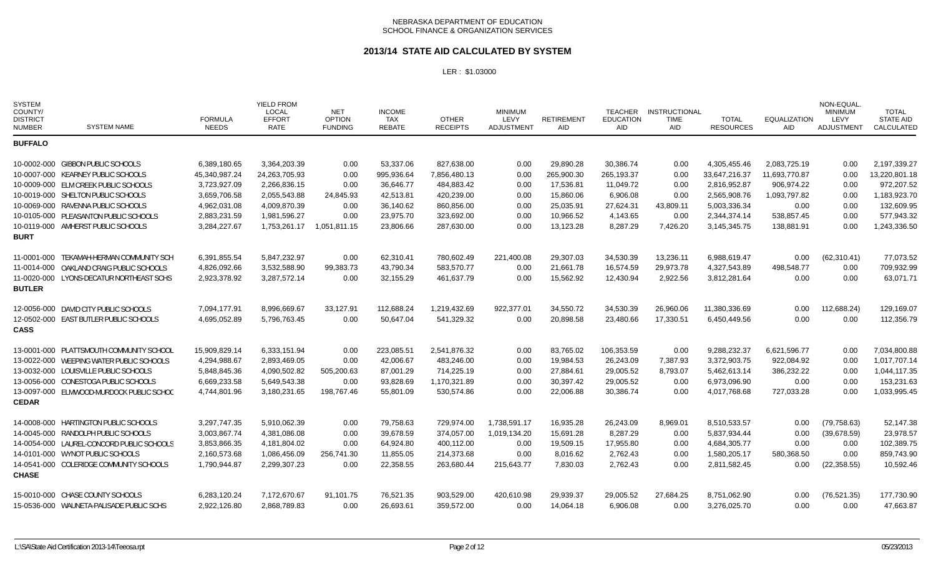#### **2013/14 STATE AID CALCULATED BY SYSTEM**

| <b>SYSTEM</b><br>COUNTY/<br><b>DISTRICT</b><br><b>SYSTEM NAME</b><br><b>NUMBER</b> | <b>FORMULA</b><br><b>NEEDS</b> | <b>YIELD FROM</b><br><b>LOCAL</b><br><b>EFFORT</b><br>RATE | <b>NET</b><br><b>OPTION</b><br><b>FUNDING</b> | <b>INCOME</b><br>TAX<br><b>REBATE</b> | <b>OTHER</b><br><b>RECEIPTS</b> | <b>MINIMUM</b><br>LEVY<br>ADJUSTMENT | <b>RETIREMENT</b><br>AID | <b>TEACHER</b><br><b>EDUCATION</b><br>AID | <b>INSTRUCTIONAL</b><br><b>TIME</b><br><b>AID</b> | <b>TOTAL</b><br><b>RESOURCES</b> | <b>EQUALIZATION</b><br>AID | NON-EQUAL<br><b>MINIMUM</b><br>LEVY<br><b>ADJUSTMENT</b> | <b>TOTAL</b><br><b>STATE AID</b><br>CALCULATED |
|------------------------------------------------------------------------------------|--------------------------------|------------------------------------------------------------|-----------------------------------------------|---------------------------------------|---------------------------------|--------------------------------------|--------------------------|-------------------------------------------|---------------------------------------------------|----------------------------------|----------------------------|----------------------------------------------------------|------------------------------------------------|
| <b>BUFFALO</b>                                                                     |                                |                                                            |                                               |                                       |                                 |                                      |                          |                                           |                                                   |                                  |                            |                                                          |                                                |
| 10-0002-000 GIBBON PUBLIC SCHOOLS                                                  | 6,389,180.65                   | 3,364,203.39                                               | 0.00                                          | 53,337.06                             | 827,638.00                      | 0.00                                 | 29.890.28                | 30,386.74                                 | 0.00                                              | 4,305,455.46                     | 2,083,725.19               | 0.00                                                     | 2,197,339.27                                   |
| 10-0007-000 KEARNEY PUBLIC SCHOOLS                                                 | 45,340,987.24                  | 24,263,705.93                                              | 0.00                                          | 995,936.64                            | 7,856,480.13                    | 0.00                                 | 265,900.30               | 265,193.37                                | 0.00                                              | 33,647,216.37                    | 11,693,770.87              | 0.00                                                     | 13,220,801.18                                  |
| 10-0009-000 ELM CREEK PUBLIC SCHOOLS                                               | 3,723,927.09                   | 2,266,836.15                                               | 0.00                                          | 36,646.77                             | 484,883.42                      | 0.00                                 | 17,536.81                | 11,049.72                                 | 0.00                                              | 2,816,952.87                     | 906,974.22                 | 0.00                                                     | 972,207.52                                     |
| 10-0019-000 SHELTON PUBLIC SCHOOLS                                                 | 3,659,706.58                   | 2,055,543.88                                               | 24,845.93                                     | 42,513.81                             | 420,239.00                      | 0.00                                 | 15,860.06                | 6,906.08                                  | 0.00                                              | 2,565,908.76                     | 1,093,797.82               | 0.00                                                     | 1,183,923.70                                   |
| 10-0069-000 RAVENNA PUBLIC SCHOOLS                                                 | 4,962,031.08                   | 4,009,870.39                                               | 0.00                                          | 36,140.62                             | 860,856.00                      | 0.00                                 | 25,035.91                | 27,624.31                                 | 43,809.11                                         | 5,003,336.34                     | 0.00                       | 0.00                                                     | 132,609.95                                     |
| 10-0105-000 PLEASANTON PUBLIC SCHOOLS                                              | 2,883,231.59                   | 1,981,596.27                                               | 0.00                                          | 23,975.70                             | 323,692.00                      | 0.00                                 | 10,966.52                | 4,143.65                                  | 0.00                                              | 2,344,374.14                     | 538,857.45                 | 0.00                                                     | 577,943.32                                     |
| 10-0119-000 AMHERST PUBLIC SCHOOLS<br><b>BURT</b>                                  | 3,284,227.67                   | 1,753,261.17                                               | 1.051.811.15                                  | 23,806.66                             | 287,630.00                      | 0.00                                 | 13.123.28                | 8,287.29                                  | 7.426.20                                          | 3,145,345.75                     | 138,881.91                 | 0.00                                                     | 1,243,336.50                                   |
| 11-0001-000<br>TEKAMAH-HERMAN COMMUNITY SCH                                        | 6,391,855.54                   | 5,847,232.97                                               | 0.00                                          | 62,310.41                             | 780,602.49                      | 221,400.08                           | 29,307.03                | 34,530.39                                 | 13,236.11                                         | 6,988,619.47                     | 0.00                       | (62, 310.41)                                             | 77,073.52                                      |
| 11-0014-000 OAKLAND CRAIG PUBLIC SCHOOLS                                           | 4,826,092.66                   | 3,532,588.90                                               | 99,383.73                                     | 43,790.34                             | 583,570.77                      | 0.00                                 | 21,661.78                | 16,574.59                                 | 29,973.78                                         | 4,327,543.89                     | 498,548.77                 | 0.00                                                     | 709,932.99                                     |
| 11-0020-000 LYONS-DECATUR NORTHEAST SCHS<br><b>BUTLER</b>                          | 2,923,378.92                   | 3,287,572.14                                               | 0.00                                          | 32,155.29                             | 461,637.79                      | 0.00                                 | 15,562.92                | 12,430.94                                 | 2,922.56                                          | 3,812,281.64                     | 0.00                       | 0.00                                                     | 63,071.71                                      |
| 12-0056-000 DAVID CITY PUBLIC SCHOOLS                                              | 7,094,177.91                   | 8,996,669.67                                               | 33,127.91                                     | 112,688.24                            | 1,219,432.69                    | 922,377.01                           | 34,550.72                | 34,530.39                                 | 26,960.06                                         | 11,380,336.69                    | 0.00                       | 112,688.24)                                              | 129,169.07                                     |
| 12-0502-000 EAST BUTLER PUBLIC SCHOOLS<br><b>CASS</b>                              | 4,695,052.89                   | 5,796,763.45                                               | 0.00                                          | 50,647.04                             | 541,329.32                      | 0.00                                 | 20,898.58                | 23,480.66                                 | 17,330.51                                         | 6,450,449.56                     | 0.00                       | 0.00                                                     | 112,356.79                                     |
| 13-0001-000 PLATTSMOUTH COMMUNITY SCHOOL                                           | 15,909,829.14                  | 6,333,151.94                                               | 0.00                                          | 223,085.51                            | 2,541,876.32                    | 0.00                                 | 83,765.02                | 106,353.59                                | 0.00                                              | 9,288,232.37                     | 6,621,596.77               | 0.00                                                     | 7,034,800.88                                   |
| 13-0022-000 WEEPING WATER PUBLIC SCHOOLS                                           | 4,294,988.67                   | 2,893,469.05                                               | 0.00                                          | 42,006.67                             | 483,246.00                      | 0.00                                 | 19,984.53                | 26,243.09                                 | 7,387.93                                          | 3,372,903.75                     | 922,084.92                 | 0.00                                                     | 1,017,707.14                                   |
| 13-0032-000 LOUISVILLE PUBLIC SCHOOLS                                              | 5,848,845.36                   | 4,090,502.82                                               | 505,200.63                                    | 87,001.29                             | 714,225.19                      | 0.00                                 | 27,884.61                | 29,005.52                                 | 8,793.07                                          | 5,462,613.14                     | 386,232.22                 | 0.00                                                     | 1,044,117.35                                   |
| 13-0056-000 CONESTOGA PUBLIC SCHOOLS                                               | 6,669,233.58                   | 5,649,543.38                                               | 0.00                                          | 93,828.69                             | 1,170,321.89                    | 0.00                                 | 30,397.42                | 29,005.52                                 | 0.00                                              | 6,973,096.90                     | 0.00                       | 0.00                                                     | 153,231.63                                     |
| 13-0097-000 ELMWOOD-MURDOCK PUBLIC SCHOC<br><b>CEDAR</b>                           | 4,744,801.96                   | 3,180,231.65                                               | 198,767.46                                    | 55,801.09                             | 530,574.86                      | 0.00                                 | 22,006.88                | 30,386.74                                 | 0.00                                              | 4,017,768.68                     | 727,033.28                 | 0.00                                                     | 1,033,995.45                                   |
| 14-0008-000 HARTINGTON PUBLIC SCHOOLS                                              | 3,297,747.35                   | 5.910.062.39                                               | 0.00                                          | 79,758.63                             | 729,974.00                      | 1,738,591.17                         | 16,935.28                | 26,243.09                                 | 8,969.01                                          | 8,510,533.57                     | 0.00                       | (79, 758.63)                                             | 52,147.38                                      |
| 14-0045-000 RANDOLPH PUBLIC SCHOOLS                                                | 3,003,867.74                   | 4,381,086.08                                               | 0.00                                          | 39,678.59                             | 374,057.00                      | 1,019,134.20                         | 15,691.28                | 8,287.29                                  | 0.00                                              | 5,837,934.44                     | 0.00                       | (39,678.59)                                              | 23,978.57                                      |
| 14-0054-000 LAUREL-CONCORD PUBLIC SCHOOLS                                          | 3,853,866.35                   | 4,181,804.02                                               | 0.00                                          | 64,924.80                             | 400,112.00                      | 0.00                                 | 19,509.15                | 17,955.80                                 | 0.00                                              | 4,684,305.77                     | 0.00                       | 0.00                                                     | 102,389.75                                     |
| 14-0101-000 WYNOT PUBLIC SCHOOLS                                                   | 2,160,573.68                   | 1,086,456.09                                               | 256,741.30                                    | 11,855.05                             | 214,373.68                      | 0.00                                 | 8,016.62                 | 2,762.43                                  | 0.00                                              | 1,580,205.17                     | 580,368.50                 | 0.00                                                     | 859,743.90                                     |
| 14-0541-000 COLERIDGE COMMUNITY SCHOOLS<br><b>CHASE</b>                            | 1,790,944.87                   | 2,299,307.23                                               | 0.00                                          | 22,358.55                             | 263,680.44                      | 215,643.77                           | 7,830.03                 | 2,762.43                                  | 0.00                                              | 2,811,582.45                     | 0.00                       | (22, 358.55)                                             | 10,592.46                                      |
| 15-0010-000 CHASE COUNTY SCHOOLS                                                   | 6,283,120.24                   | 7,172,670.67                                               | 91,101.75                                     | 76,521.35                             | 903,529.00                      | 420,610.98                           | 29,939.37                | 29,005.52                                 | 27,684.25                                         | 8,751,062.90                     | 0.00                       | (76, 521.35)                                             | 177,730.90                                     |
| 15-0536-000 WAUNETA-PALISADE PUBLIC SCHS                                           | 2,922,126.80                   | 2,868,789.83                                               | 0.00                                          | 26,693.61                             | 359,572.00                      | 0.00                                 | 14,064.18                | 6,906.08                                  | 0.00                                              | 3,276,025.70                     | 0.00                       | 0.00                                                     | 47,663.87                                      |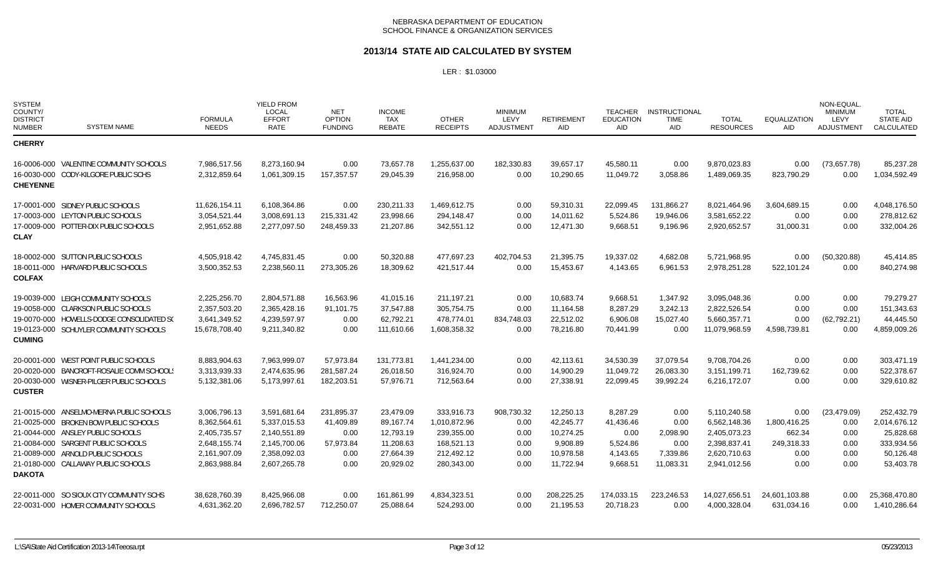### **2013/14 STATE AID CALCULATED BY SYSTEM**

| <b>SYSTEM</b><br>COUNTY/<br><b>DISTRICT</b><br><b>NUMBER</b> | <b>SYSTEM NAME</b>                        | <b>FORMULA</b><br><b>NEEDS</b> | YIELD FROM<br><b>LOCAL</b><br><b>EFFORT</b><br>RATE | <b>NET</b><br><b>OPTION</b><br><b>FUNDING</b> | <b>INCOME</b><br><b>TAX</b><br><b>REBATE</b> | <b>OTHER</b><br><b>RECEIPTS</b> | <b>MINIMUM</b><br>LEVY<br><b>ADJUSTMENT</b> | <b>RETIREMENT</b><br><b>AID</b> | <b>TEACHER</b><br><b>EDUCATION</b><br><b>AID</b> | <b>INSTRUCTIONAL</b><br><b>TIME</b><br><b>AID</b> | <b>TOTAL</b><br><b>RESOURCES</b> | <b>EQUALIZATION</b><br><b>AID</b> | NON-EQUAL<br><b>MINIMUM</b><br>LEVY<br><b>ADJUSTMENT</b> | <b>TOTAL</b><br><b>STATE AID</b><br>CALCULATED |
|--------------------------------------------------------------|-------------------------------------------|--------------------------------|-----------------------------------------------------|-----------------------------------------------|----------------------------------------------|---------------------------------|---------------------------------------------|---------------------------------|--------------------------------------------------|---------------------------------------------------|----------------------------------|-----------------------------------|----------------------------------------------------------|------------------------------------------------|
| <b>CHERRY</b>                                                |                                           |                                |                                                     |                                               |                                              |                                 |                                             |                                 |                                                  |                                                   |                                  |                                   |                                                          |                                                |
|                                                              | 16-0006-000 VALENTINE COMMUNITY SCHOOLS   | 7,986,517.56                   | 8,273,160.94                                        | 0.00                                          | 73,657.78                                    | 1,255,637.00                    | 182,330.83                                  | 39,657.17                       | 45,580.11                                        | 0.00                                              | 9,870,023.83                     | 0.00                              | (73,657.78)                                              | 85,237.28                                      |
| <b>CHEYENNE</b>                                              | 16-0030-000 CODY-KILGORE PUBLIC SCHS      | 2,312,859.64                   | 1,061,309.15                                        | 157,357.57                                    | 29,045.39                                    | 216,958.00                      | 0.00                                        | 10,290.65                       | 11,049.72                                        | 3,058.86                                          | 1,489,069.35                     | 823,790.29                        | 0.00                                                     | 1,034,592.49                                   |
|                                                              | 17-0001-000 SIDNEY PUBLIC SCHOOLS         | 11,626,154.11                  | 6,108,364.86                                        | 0.00                                          | 230,211.33                                   | 1,469,612.75                    | 0.00                                        | 59,310.31                       | 22,099.45                                        | 131,866.27                                        | 8,021,464.96                     | 3,604,689.15                      | 0.00                                                     | 4,048,176.50                                   |
|                                                              | 17-0003-000 LEYTON PUBLIC SCHOOLS         | 3,054,521.44                   | 3,008,691.13                                        | 215,331.42                                    | 23,998.66                                    | 294,148.47                      | 0.00                                        | 14,011.62                       | 5,524.86                                         | 19,946.06                                         | 3,581,652.22                     | 0.00                              | 0.00                                                     | 278,812.62                                     |
| <b>CLAY</b>                                                  | 17-0009-000 POTTER-DIX PUBLIC SCHOOLS     | 2,951,652.88                   | 2,277,097.50                                        | 248,459.33                                    | 21,207.86                                    | 342,551.12                      | 0.00                                        | 12,471.30                       | 9,668.51                                         | 9,196.96                                          | 2,920,652.57                     | 31,000.31                         | 0.00                                                     | 332,004.26                                     |
|                                                              | 18-0002-000 SUTTON PUBLIC SCHOOLS         | 4,505,918.42                   | 4,745,831.45                                        | 0.00                                          | 50,320.88                                    | 477,697.23                      | 402,704.53                                  | 21,395.75                       | 19,337.02                                        | 4,682.08                                          | 5,721,968.95                     | 0.00                              | (50, 320.88)                                             | 45,414.85                                      |
| <b>COLFAX</b>                                                | 18-0011-000 HARVARD PUBLIC SCHOOLS        | 3,500,352.53                   | 2,238,560.11                                        | 273,305.26                                    | 18,309.62                                    | 421,517.44                      | 0.00                                        | 15,453.67                       | 4,143.65                                         | 6,961.53                                          | 2,978,251.28                     | 522,101.24                        | 0.00                                                     | 840,274.98                                     |
|                                                              | 19-0039-000 LEIGH COMMUNITY SCHOOLS       | 2,225,256.70                   | 2,804,571.88                                        | 16,563.96                                     | 41,015.16                                    | 211,197.21                      | 0.00                                        | 10,683.74                       | 9,668.51                                         | 1,347.92                                          | 3,095,048.36                     | 0.00                              | 0.00                                                     | 79,279.27                                      |
|                                                              | 19-0058-000 CLARKSON PUBLIC SCHOOLS       | 2,357,503.20                   | 2,365,428.16                                        | 91,101.75                                     | 37,547.88                                    | 305,754.75                      | 0.00                                        | 11,164.58                       | 8,287.29                                         | 3,242.13                                          | 2,822,526.54                     | 0.00                              | 0.00                                                     | 151,343.63                                     |
|                                                              | 19-0070-000 HOWELLS-DODGE CONSOLIDATED SC | 3,641,349.52                   | 4,239,597.97                                        | 0.00                                          | 62,792.21                                    | 478,774.01                      | 834,748.03                                  | 22,512.02                       | 6.906.08                                         | 15,027.40                                         | 5,660,357.71                     | 0.00                              | (62, 792.21)                                             | 44,445.50                                      |
| <b>CUMING</b>                                                | 19-0123-000 SCHUYLER COMMUNITY SCHOOLS    | 15,678,708.40                  | 9,211,340.82                                        | 0.00                                          | 111,610.66                                   | 1,608,358.32                    | 0.00                                        | 78,216.80                       | 70,441.99                                        | 0.00                                              | 11,079,968.59                    | 4,598,739.81                      | 0.00                                                     | 4,859,009.26                                   |
|                                                              | 20-0001-000 WEST POINT PUBLIC SCHOOLS     | 8,883,904.63                   | 7,963,999.07                                        | 57,973.84                                     | 131,773.81                                   | 1,441,234.00                    | 0.00                                        | 42,113.61                       | 34,530.39                                        | 37,079.54                                         | 9,708,704.26                     | 0.00                              | 0.00                                                     | 303,471.19                                     |
|                                                              | 20-0020-000 BANCROFT-ROSALIE COMM SCHOOLS | 3,313,939.33                   | 2,474,635.96                                        | 281,587.24                                    | 26,018.50                                    | 316,924.70                      | 0.00                                        | 14,900.29                       | 11,049.72                                        | 26,083.30                                         | 3,151,199.71                     | 162,739.62                        | 0.00                                                     | 522,378.67                                     |
| <b>CUSTER</b>                                                | 20-0030-000 WISNER-PILGER PUBLIC SCHOOLS  | 5,132,381.06                   | 5,173,997.61                                        | 182,203.51                                    | 57,976.71                                    | 712,563.64                      | 0.00                                        | 27,338.91                       | 22,099.45                                        | 39,992.24                                         | 6,216,172.07                     | 0.00                              | 0.00                                                     | 329,610.82                                     |
|                                                              | 21-0015-000 ANSELMO-MERNA PUBLIC SCHOOLS  | 3,006,796.13                   | 3,591,681.64                                        | 231,895.37                                    | 23,479.09                                    | 333,916.73                      | 908,730.32                                  | 12,250.13                       | 8,287.29                                         | 0.00                                              | 5,110,240.58                     | 0.00                              | (23, 479.09)                                             | 252,432.79                                     |
|                                                              | 21-0025-000 BROKEN BOW PUBLIC SCHOOLS     | 8,362,564.61                   | 5,337,015.53                                        | 41,409.89                                     | 89,167.74                                    | 1,010,872.96                    | 0.00                                        | 42,245.77                       | 41,436.46                                        | 0.00                                              | 6,562,148.36                     | 1,800,416.25                      | 0.00                                                     | 2,014,676.12                                   |
|                                                              | 21-0044-000 ANSLEY PUBLIC SCHOOLS         | 2,405,735.57                   | 2,140,551.89                                        | 0.00                                          | 12,793.19                                    | 239,355.00                      | 0.00                                        | 10,274.25                       | 0.00                                             | 2,098.90                                          | 2,405,073.23                     | 662.34                            | 0.00                                                     | 25,828.68                                      |
|                                                              | 21-0084-000 SARGENT PUBLIC SCHOOLS        | 2,648,155.74                   | 2,145,700.06                                        | 57,973.84                                     | 11,208.63                                    | 168,521.13                      | 0.00                                        | 9,908.89                        | 5,524.86                                         | 0.00                                              | 2,398,837.41                     | 249,318.33                        | 0.00                                                     | 333,934.56                                     |
|                                                              | 21-0089-000 ARNOLD PUBLIC SCHOOLS         | 2,161,907.09                   | 2,358,092.03                                        | 0.00                                          | 27,664.39                                    | 212,492.12                      | 0.00                                        | 10,978.58                       | 4,143.65                                         | 7,339.86                                          | 2,620,710.63                     | 0.00                              | 0.00                                                     | 50,126.48                                      |
| <b>DAKOTA</b>                                                | 21-0180-000 CALLAWAY PUBLIC SCHOOLS       | 2,863,988.84                   | 2,607,265.78                                        | 0.00                                          | 20,929.02                                    | 280,343.00                      | 0.00                                        | 11,722.94                       | 9,668.51                                         | 11,083.31                                         | 2,941,012.56                     | 0.00                              | 0.00                                                     | 53,403.78                                      |
|                                                              | 22-0011-000 SO SIOUX CITY COMMUNITY SCHS  | 38,628,760.39                  | 8,425,966.08                                        | 0.00                                          | 161,861.99                                   | 4,834,323.51                    | 0.00                                        | 208,225.25                      | 174,033.15                                       | 223,246.53                                        | 14,027,656.51                    | 24,601,103.88                     | 0.00                                                     | 25,368,470.80                                  |
|                                                              | 22-0031-000 HOMER COMMUNITY SCHOOLS       | 4,631,362.20                   | 2,696,782.57                                        | 712,250.07                                    | 25,088.64                                    | 524,293.00                      | 0.00                                        | 21,195.53                       | 20,718.23                                        | 0.00                                              | 4,000,328.04                     | 631,034.16                        | 0.00                                                     | 1,410,286.64                                   |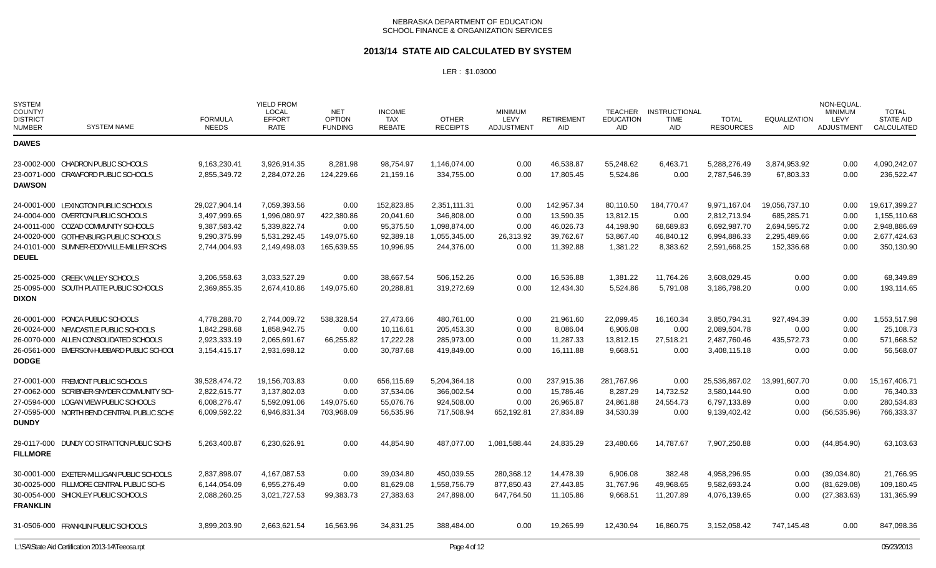### **2013/14 STATE AID CALCULATED BY SYSTEM**

| <b>SYSTEM</b><br>COUNTY/<br><b>DISTRICT</b><br><b>NUMBER</b> | <b>SYSTEM NAME</b>                               | <b>FORMULA</b><br><b>NEEDS</b> | <b>YIELD FROM</b><br>LOCAL<br><b>EFFORT</b><br>RATE | NET<br><b>OPTION</b><br><b>FUNDING</b> | <b>INCOME</b><br><b>TAX</b><br><b>REBATE</b> | <b>OTHER</b><br><b>RECEIPTS</b> | <b>MINIMUM</b><br>LEVY<br><b>ADJUSTMENT</b> | <b>RETIREMENT</b><br>AID | <b>TEACHER</b><br><b>EDUCATION</b><br>AID | <b>INSTRUCTIONAL</b><br>TIME<br>AID | <b>TOTAL</b><br><b>RESOURCES</b> | EQUALIZATION<br><b>AID</b> | NON-EQUAL.<br><b>MINIMUM</b><br>LEVY<br>ADJUSTMENT | <b>TOTAL</b><br><b>STATE AID</b><br>CALCULATED |
|--------------------------------------------------------------|--------------------------------------------------|--------------------------------|-----------------------------------------------------|----------------------------------------|----------------------------------------------|---------------------------------|---------------------------------------------|--------------------------|-------------------------------------------|-------------------------------------|----------------------------------|----------------------------|----------------------------------------------------|------------------------------------------------|
| <b>DAWES</b>                                                 |                                                  |                                |                                                     |                                        |                                              |                                 |                                             |                          |                                           |                                     |                                  |                            |                                                    |                                                |
|                                                              | 23-0002-000 CHADRON PUBLIC SCHOOLS               | 9,163,230.41                   | 3,926,914.35                                        | 8,281.98                               | 98,754.97                                    | 1,146,074.00                    | 0.00                                        | 46,538.87                | 55,248.62                                 | 6,463.71                            | 5,288,276.49                     | 3,874,953.92               | 0.00                                               | 4,090,242.07                                   |
|                                                              | 23-0071-000 CRAWFORD PUBLIC SCHOOLS              | 2,855,349.72                   | 2,284,072.26                                        | 124,229.66                             | 21,159.16                                    | 334,755.00                      | 0.00                                        | 17,805.45                | 5,524.86                                  | 0.00                                | 2,787,546.39                     | 67,803.33                  | 0.00                                               | 236,522.47                                     |
| <b>DAWSON</b>                                                |                                                  |                                |                                                     |                                        |                                              |                                 |                                             |                          |                                           |                                     |                                  |                            |                                                    |                                                |
|                                                              | 24-0001-000 LEXINGTON PUBLIC SCHOOLS             | 29,027,904.14                  | 7,059,393.56                                        | 0.00                                   | 152,823.85                                   | 2,351,111.31                    | 0.00                                        | 142,957.34               | 80,110.50                                 | 184,770.47                          | 9,971,167.04                     | 19,056,737.10              | 0.00                                               | 19,617,399.27                                  |
|                                                              | 24-0004-000 OVERTON PUBLIC SCHOOLS               | 3,497,999.65                   | 1,996,080.97                                        | 422,380.86                             | 20,041.60                                    | 346,808.00                      | 0.00                                        | 13,590.35                | 13,812.15                                 | 0.00                                | 2,812,713.94                     | 685,285.71                 | 0.00                                               | 1,155,110.68                                   |
|                                                              | 24-0011-000 COZAD COMMUNITY SCHOOLS              | 9,387,583.42                   | 5,339,822.74                                        | 0.00                                   | 95,375.50                                    | 1,098,874.00                    | 0.00                                        | 46,026.73                | 44,198.90                                 | 68,689.83                           | 6,692,987.70                     | 2,694,595.72               | 0.00                                               | 2,948,886.69                                   |
|                                                              | 24-0020-000 GOTHENBURG PUBLIC SCHOOLS            | 9,290,375.99                   | 5,531,292.45                                        | 149,075.60                             | 92,389.18                                    | 1,055,345.00                    | 26,313.92                                   | 39,762.67                | 53,867.40                                 | 46,840.12                           | 6,994,886.33                     | 2,295,489.66               | 0.00                                               | 2,677,424.63                                   |
| <b>DEUEL</b>                                                 | 24-0101-000 SUMNER-EDDYVILLE-MILLER SCHS         | 2,744,004.93                   | 2,149,498.03                                        | 165,639.55                             | 10,996.95                                    | 244,376.00                      | 0.00                                        | 11,392.88                | 1,381.22                                  | 8,383.62                            | 2,591,668.25                     | 152,336.68                 | 0.00                                               | 350,130.90                                     |
|                                                              | 25-0025-000 CREEK VALLEY SCHOOLS                 | 3,206,558.63                   | 3,033,527.29                                        | 0.00                                   | 38,667.54                                    | 506,152.26                      | 0.00                                        | 16,536.88                | 1,381.22                                  | 11,764.26                           | 3,608,029.45                     | 0.00                       | 0.00                                               | 68,349.89                                      |
|                                                              | 25-0095-000 SOUTH PLATTE PUBLIC SCHOOLS          | 2,369,855.35                   | 2,674,410.86                                        | 149,075.60                             | 20,288.81                                    | 319,272.69                      | 0.00                                        | 12,434.30                | 5,524.86                                  | 5,791.08                            | 3,186,798.20                     | 0.00                       | 0.00                                               | 193,114.65                                     |
| <b>DIXON</b>                                                 |                                                  |                                |                                                     |                                        |                                              |                                 |                                             |                          |                                           |                                     |                                  |                            |                                                    |                                                |
|                                                              | 26-0001-000 PONCA PUBLIC SCHOOLS                 | 4,778,288.70                   | 2,744,009.72                                        | 538,328.54                             | 27,473.66                                    | 480,761.00                      | 0.00                                        | 21,961.60                | 22,099.45                                 | 16,160.34                           | 3,850,794.31                     | 927,494.39                 | 0.00                                               | 1,553,517.98                                   |
|                                                              | 26-0024-000 NEWCASTLE PUBLIC SCHOOLS             | 1,842,298.68                   | 1,858,942.75                                        | 0.00                                   | 10,116.61                                    | 205,453.30                      | 0.00                                        | 8,086.04                 | 6,906.08                                  | 0.00                                | 2,089,504.78                     | 0.00                       | 0.00                                               | 25,108.73                                      |
|                                                              | 26-0070-000 ALLEN CONSOLIDATED SCHOOLS           | 2,923,333.19                   | 2,065,691.67                                        | 66,255.82                              | 17,222.28                                    | 285,973.00                      | 0.00                                        | 11,287.33                | 13,812.15                                 | 27,518.21                           | 2,487,760.46                     | 435,572.73                 | 0.00                                               | 571,668.52                                     |
| <b>DODGE</b>                                                 | 26-0561-000 EMERSON-HUBBARD PUBLIC SCHOOL        | 3,154,415.17                   | 2,931,698.12                                        | 0.00                                   | 30,787.68                                    | 419,849.00                      | 0.00                                        | 16,111.88                | 9,668.51                                  | 0.00                                | 3,408,115.18                     | 0.00                       | 0.00                                               | 56,568.07                                      |
|                                                              | 27-0001-000 FREMONT PUBLIC SCHOOLS               | 39,528,474.72                  | 19,156,703.83                                       | 0.00                                   | 656,115.69                                   | 5,204,364.18                    | 0.00                                        | 237,915.36               | 281,767.96                                | 0.00                                | 25,536,867.02                    | 13,991,607.70              | 0.00                                               | 15, 167, 406. 71                               |
|                                                              | 27-0062-000 SCRIBNER-SNYDER COMMUNITY SCH        | 2,822,615.77                   | 3,137,802.03                                        | 0.00                                   | 37,534.06                                    | 366,002.54                      | 0.00                                        | 15,786.46                | 8,287.29                                  | 14,732.52                           | 3,580,144.90                     | 0.00                       | 0.00                                               | 76,340.33                                      |
|                                                              | 27-0594-000 LOGAN VIEW PUBLIC SCHOOLS            | 6,008,276.47                   | 5,592,091.06                                        | 149,075.60                             | 55,076.76                                    | 924,508.00                      | 0.00                                        | 26,965.87                | 24,861.88                                 | 24,554.73                           | 6,797,133.89                     | 0.00                       | 0.00                                               | 280,534.83                                     |
| <b>DUNDY</b>                                                 | 27-0595-000 NORTH BEND CENTRAL PUBLIC SCHS       | 6,009,592.22                   | 6,946,831.34                                        | 703,968.09                             | 56,535.96                                    | 717,508.94                      | 652,192.81                                  | 27,834.89                | 34,530.39                                 | 0.00                                | 9,139,402.42                     | 0.00                       | (56, 535.96)                                       | 766,333.37                                     |
| <b>FILLMORE</b>                                              | 29-0117-000 DUNDY CO STRATTON PUBLIC SCHS        | 5,263,400.87                   | 6,230,626.91                                        | 0.00                                   | 44,854.90                                    | 487,077.00                      | 1,081,588.44                                | 24,835.29                | 23,480.66                                 | 14,787.67                           | 7,907,250.88                     | 0.00                       | (44, 854.90)                                       | 63,103.63                                      |
|                                                              | 30-0001-000 EXETER-MILLIGAN PUBLIC SCHOOLS       | 2,837,898.07                   | 4,167,087.53                                        | 0.00                                   | 39,034.80                                    | 450,039.55                      | 280,368.12                                  | 14,478.39                | 6,906.08                                  | 382.48                              | 4,958,296.95                     | 0.00                       | (39,034.80)                                        | 21,766.95                                      |
|                                                              | 30-0025-000 FILLMORE CENTRAL PUBLIC SCHS         | 6,144,054.09                   | 6,955,276.49                                        | 0.00                                   | 81,629.08                                    | 1,558,756.79                    | 877,850.43                                  | 27,443.85                | 31,767.96                                 | 49,968.65                           | 9,582,693.24                     | 0.00                       | (81,629.08)                                        | 109,180.45                                     |
| <b>FRANKLIN</b>                                              | 30-0054-000 SHICKLEY PUBLIC SCHOOLS              | 2,088,260.25                   | 3,021,727.53                                        | 99,383.73                              | 27,383.63                                    | 247,898.00                      | 647,764.50                                  | 11,105.86                | 9,668.51                                  | 11,207.89                           | 4,076,139.65                     | 0.00                       | (27, 383.63)                                       | 131,365.99                                     |
|                                                              | 31-0506-000 FRANKLIN PUBLIC SCHOOLS              | 3,899,203.90                   | 2,663,621.54                                        | 16,563.96                              | 34,831.25                                    | 388,484.00                      | 0.00                                        | 19,265.99                | 12,430.94                                 | 16,860.75                           | 3,152,058.42                     | 747,145.48                 | 0.00                                               | 847,098.36                                     |
|                                                              | L:\SA\State Aid Certification 2013-14\Teeosa.rpt |                                |                                                     |                                        |                                              | Page 4 of 12                    |                                             |                          |                                           |                                     |                                  |                            |                                                    | 05/23/2013                                     |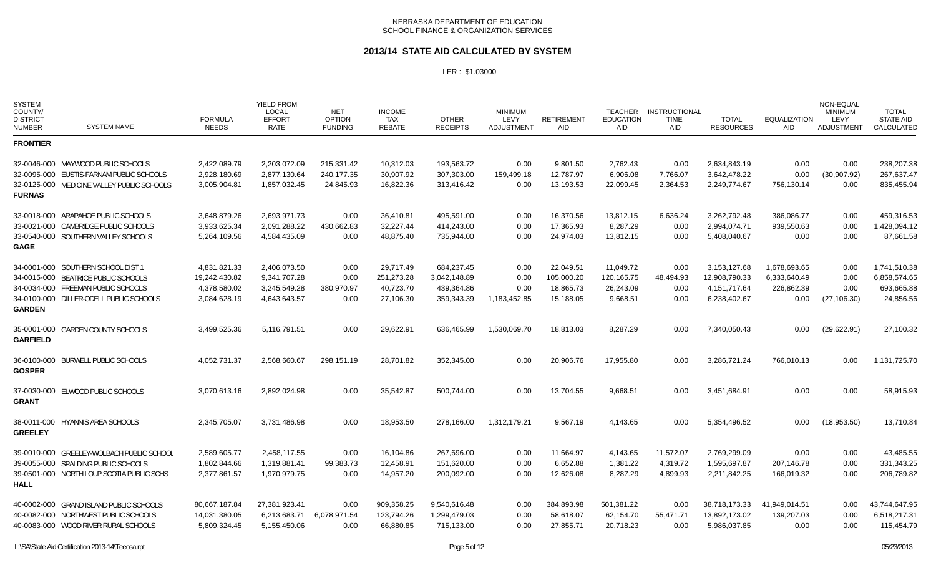### **2013/14 STATE AID CALCULATED BY SYSTEM**

| <b>SYSTEM</b><br>COUNTY/<br><b>DISTRICT</b><br><b>SYSTEM NAME</b><br><b>NUMBER</b> | <b>FORMULA</b><br><b>NEEDS</b> | <b>YIELD FROM</b><br><b>LOCAL</b><br><b>EFFORT</b><br>RATE | <b>NET</b><br><b>OPTION</b><br><b>FUNDING</b> | <b>INCOME</b><br><b>TAX</b><br><b>REBATE</b> | <b>OTHER</b><br><b>RECEIPTS</b> | <b>MINIMUM</b><br>LEVY<br><b>ADJUSTMENT</b> | <b>RETIREMENT</b><br>AID | <b>TEACHER</b><br><b>EDUCATION</b><br>AID | <b>INSTRUCTIONAL</b><br><b>TIME</b><br><b>AID</b> | <b>TOTAL</b><br><b>RESOURCES</b> | <b>EQUALIZATION</b><br>AID | NON-EQUAL<br><b>MINIMUM</b><br>LEVY<br><b>ADJUSTMENT</b> | <b>TOTAL</b><br><b>STATE AID</b><br>CALCULATED |
|------------------------------------------------------------------------------------|--------------------------------|------------------------------------------------------------|-----------------------------------------------|----------------------------------------------|---------------------------------|---------------------------------------------|--------------------------|-------------------------------------------|---------------------------------------------------|----------------------------------|----------------------------|----------------------------------------------------------|------------------------------------------------|
| <b>FRONTIER</b>                                                                    |                                |                                                            |                                               |                                              |                                 |                                             |                          |                                           |                                                   |                                  |                            |                                                          |                                                |
| 32-0046-000 MAYWOOD PUBLIC SCHOOLS                                                 | 2,422,089.79                   | 2,203,072.09                                               | 215,331.42                                    | 10,312.03                                    | 193,563.72                      | 0.00                                        | 9,801.50                 | 2,762.43                                  | 0.00                                              | 2,634,843.19                     | 0.00                       | 0.00                                                     | 238,207.38                                     |
| 32-0095-000 EUSTIS-FARNAM PUBLIC SCHOOLS                                           | 2,928,180.69                   | 2,877,130.64                                               | 240,177.35                                    | 30,907.92                                    | 307,303.00                      | 159,499.18                                  | 12,787.97                | 6,906.08                                  | 7,766.07                                          | 3,642,478.22                     | 0.00                       | (30, 907.92)                                             | 267,637.47                                     |
| 32-0125-000 MEDICINE VALLEY PUBLIC SCHOOLS<br><b>FURNAS</b>                        | 3,005,904.81                   | 1,857,032.45                                               | 24,845.93                                     | 16,822.36                                    | 313,416.42                      | 0.00                                        | 13,193.53                | 22,099.45                                 | 2,364.53                                          | 2,249,774.67                     | 756,130.14                 | 0.00                                                     | 835,455.94                                     |
| 33-0018-000 ARAPAHOE PUBLIC SCHOOLS                                                | 3,648,879.26                   | 2,693,971.73                                               | 0.00                                          | 36,410.81                                    | 495,591.00                      | 0.00                                        | 16,370.56                | 13,812.15                                 | 6,636.24                                          | 3,262,792.48                     | 386,086.77                 | 0.00                                                     | 459,316.53                                     |
| 33-0021-000 CAMBRIDGE PUBLIC SCHOOLS                                               | 3,933,625.34                   | 2,091,288.22                                               | 430,662.83                                    | 32,227.44                                    | 414,243.00                      | 0.00                                        | 17,365.93                | 8,287.29                                  | 0.00                                              | 2,994,074.71                     | 939,550.63                 | 0.00                                                     | 1,428,094.12                                   |
| 33-0540-000 SOUTHERN VALLEY SCHOOLS<br><b>GAGE</b>                                 | 5,264,109.56                   | 4,584,435.09                                               | 0.00                                          | 48,875.40                                    | 735,944.00                      | 0.00                                        | 24,974.03                | 13,812.15                                 | 0.00                                              | 5,408,040.67                     | 0.00                       | 0.00                                                     | 87,661.58                                      |
| 34-0001-000 SOUTHERN SCHOOL DIST 1                                                 | 4,831,821.33                   | 2,406,073.50                                               | 0.00                                          | 29,717.49                                    | 684,237.45                      | 0.00                                        | 22,049.51                | 11.049.72                                 | 0.00                                              | 3,153,127.68                     | 1,678,693.65               | 0.00                                                     | 1,741,510.38                                   |
| 34-0015-000 BEATRICE PUBLIC SCHOOLS                                                | 19,242,430.82                  | 9,341,707.28                                               | 0.00                                          | 251,273.28                                   | 3,042,148.89                    | 0.00                                        | 105,000.20               | 120, 165. 75                              | 48,494.93                                         | 12,908,790.33                    | 6,333,640.49               | 0.00                                                     | 6,858,574.65                                   |
| 34-0034-000 FREEMAN PUBLIC SCHOOLS                                                 | 4,378,580.02                   | 3,245,549.28                                               | 380,970.97                                    | 40,723.70                                    | 439,364.86                      | 0.00                                        | 18,865.73                | 26,243.09                                 | 0.00                                              | 4, 151, 717. 64                  | 226,862.39                 | 0.00                                                     | 693,665.88                                     |
| 34-0100-000 DILLER-ODELL PUBLIC SCHOOLS<br><b>GARDEN</b>                           | 3,084,628.19                   | 4,643,643.57                                               | 0.00                                          | 27,106.30                                    | 359,343.39                      | 1,183,452.85                                | 15,188.05                | 9,668.51                                  | 0.00                                              | 6,238,402.67                     | 0.00                       | (27, 106.30)                                             | 24,856.56                                      |
| 35-0001-000 GARDEN COUNTY SCHOOLS<br><b>GARFIELD</b>                               | 3,499,525.36                   | 5,116,791.51                                               | 0.00                                          | 29,622.91                                    | 636,465.99                      | 1,530,069.70                                | 18,813.03                | 8,287.29                                  | 0.00                                              | 7,340,050.43                     | 0.00                       | (29,622.91)                                              | 27,100.32                                      |
| 36-0100-000 BURWELL PUBLIC SCHOOLS<br><b>GOSPER</b>                                | 4,052,731.37                   | 2,568,660.67                                               | 298,151.19                                    | 28,701.82                                    | 352,345.00                      | 0.00                                        | 20,906.76                | 17,955.80                                 | 0.00                                              | 3,286,721.24                     | 766,010.13                 | 0.00                                                     | 1,131,725.70                                   |
| 37-0030-000 ELWOOD PUBLIC SCHOOLS<br><b>GRANT</b>                                  | 3,070,613.16                   | 2,892,024.98                                               | 0.00                                          | 35,542.87                                    | 500,744.00                      | 0.00                                        | 13,704.55                | 9,668.51                                  | 0.00                                              | 3,451,684.91                     | 0.00                       | 0.00                                                     | 58,915.93                                      |
| 38-0011-000 HYANNIS AREA SCHOOLS<br><b>GREELEY</b>                                 | 2,345,705.07                   | 3,731,486.98                                               | 0.00                                          | 18,953.50                                    | 278,166.00                      | 1,312,179.21                                | 9,567.19                 | 4,143.65                                  | 0.00                                              | 5,354,496.52                     | 0.00                       | (18,953.50)                                              | 13,710.84                                      |
| 39-0010-000 GREELEY-WOLBACH PUBLIC SCHOOL                                          | 2,589,605.77                   | 2,458,117.55                                               | 0.00                                          | 16,104.86                                    | 267,696.00                      | 0.00                                        | 11,664.97                | 4,143.65                                  | 11,572.07                                         | 2,769,299.09                     | 0.00                       | 0.00                                                     | 43,485.55                                      |
| 39-0055-000 SPALDING PUBLIC SCHOOLS                                                | 1,802,844.66                   | 1,319,881.41                                               | 99,383.73                                     | 12,458.91                                    | 151,620.00                      | 0.00                                        | 6,652.88                 | 1,381.22                                  | 4,319.72                                          | 1,595,697.87                     | 207,146.78                 | 0.00                                                     | 331,343.25                                     |
| 39-0501-000 NORTH LOUP SCOTIA PUBLIC SCHS<br><b>HALL</b>                           | 2,377,861.57                   | 1,970,979.75                                               | 0.00                                          | 14,957.20                                    | 200,092.00                      | 0.00                                        | 12,626.08                | 8,287.29                                  | 4,899.93                                          | 2,211,842.25                     | 166,019.32                 | 0.00                                                     | 206,789.82                                     |
| 40-0002-000 GRAND ISLAND PUBLIC SCHOOLS                                            | 80,667,187.84                  | 27,381,923.41                                              | 0.00                                          | 909,358.25                                   | 9,540,616.48                    | 0.00                                        | 384,893.98               | 501,381.22                                | 0.00                                              | 38,718,173.33                    | 41,949,014.51              | 0.00                                                     | 43,744,647.95                                  |
| 40-0082-000 NORTHWEST PUBLIC SCHOOLS<br>40-0083-000 WOOD RIVER RURAL SCHOOLS       | 14,031,380.05<br>5,809,324.45  | 6,213,683.71<br>5,155,450.06                               | 6,078,971.54<br>0.00                          | 123,794.26<br>66,880.85                      | 1,299,479.03<br>715,133.00      | 0.00<br>0.00                                | 58,618.07<br>27,855.71   | 62,154.70<br>20,718.23                    | 55,471.71<br>0.00                                 | 13,892,173.02<br>5,986,037.85    | 139,207.03<br>0.00         | 0.00<br>0.00                                             | 6,518,217.31<br>115,454.79                     |
|                                                                                    |                                |                                                            |                                               |                                              |                                 |                                             |                          |                                           |                                                   |                                  |                            |                                                          |                                                |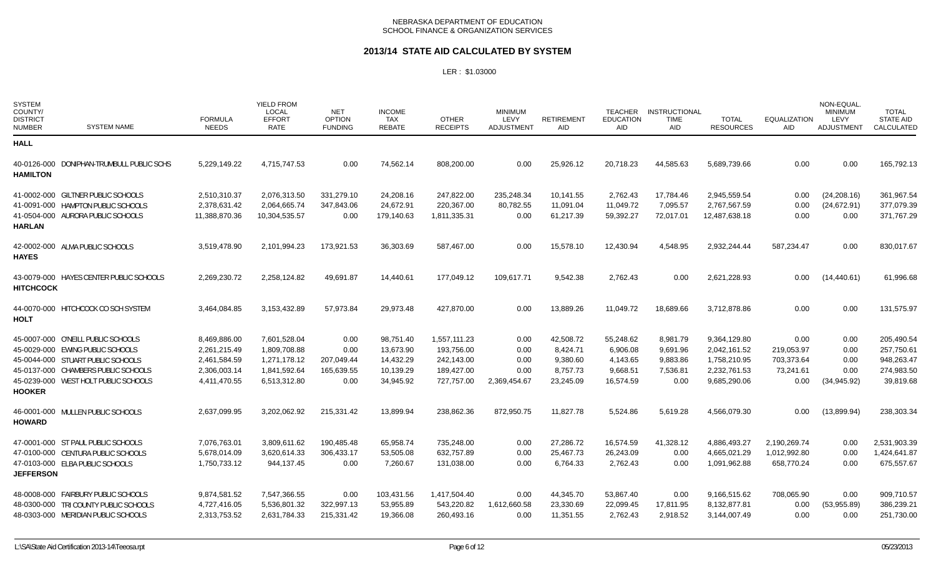### **2013/14 STATE AID CALCULATED BY SYSTEM**

| <b>SYSTEM</b><br>COUNTY/<br><b>DISTRICT</b><br><b>NUMBER</b> | <b>SYSTEM NAME</b>                                                                                                                                                                         | <b>FORMULA</b><br><b>NEEDS</b>                                               | <b>YIELD FROM</b><br><b>LOCAL</b><br><b>EFFORT</b><br><b>RATE</b>            | <b>NET</b><br><b>OPTION</b><br><b>FUNDING</b>    | <b>INCOME</b><br><b>TAX</b><br><b>REBATE</b>                  | <b>OTHER</b><br><b>RECEIPTS</b>                                      | <b>MINIMUM</b><br>LEVY<br><b>ADJUSTMENT</b>  | <b>RETIREMENT</b><br><b>AID</b>                            | <b>TEACHER</b><br><b>EDUCATION</b><br><b>AID</b>           | <b>INSTRUCTIONAL</b><br><b>TIME</b><br>AID           | <b>TOTAL</b><br><b>RESOURCES</b>                                             | <b>EQUALIZATION</b><br><b>AID</b>                     | NON-EQUAL<br><b>MINIMUM</b><br>LEVY<br>ADJUSTMENT | <b>TOTAL</b><br><b>STATE AID</b><br>CALCULATED                    |
|--------------------------------------------------------------|--------------------------------------------------------------------------------------------------------------------------------------------------------------------------------------------|------------------------------------------------------------------------------|------------------------------------------------------------------------------|--------------------------------------------------|---------------------------------------------------------------|----------------------------------------------------------------------|----------------------------------------------|------------------------------------------------------------|------------------------------------------------------------|------------------------------------------------------|------------------------------------------------------------------------------|-------------------------------------------------------|---------------------------------------------------|-------------------------------------------------------------------|
| <b>HALL</b>                                                  |                                                                                                                                                                                            |                                                                              |                                                                              |                                                  |                                                               |                                                                      |                                              |                                                            |                                                            |                                                      |                                                                              |                                                       |                                                   |                                                                   |
| <b>HAMILTON</b>                                              | 40-0126-000 DONIPHAN-TRUMBULL PUBLIC SCHS                                                                                                                                                  | 5,229,149.22                                                                 | 4,715,747.53                                                                 | 0.00                                             | 74,562.14                                                     | 808,200.00                                                           | 0.00                                         | 25,926.12                                                  | 20,718.23                                                  | 44,585.63                                            | 5,689,739.66                                                                 | 0.00                                                  | 0.00                                              | 165,792.13                                                        |
| <b>HARLAN</b>                                                | 41-0002-000 GILTNER PUBLIC SCHOOLS<br>41-0091-000 HAMPTON PUBLIC SCHOOLS<br>41-0504-000 AURORA PUBLIC SCHOOLS                                                                              | 2,510,310.37<br>2,378,631.42<br>11,388,870.36                                | 2,076,313.50<br>2,064,665.74<br>10,304,535.57                                | 331,279.10<br>347,843.06<br>0.00                 | 24,208.16<br>24,672.91<br>179,140.63                          | 247,822.00<br>220,367.00<br>1,811,335.31                             | 235,248.34<br>80,782.55<br>0.00              | 10,141.55<br>11,091.04<br>61,217.39                        | 2,762.43<br>11,049.72<br>59,392.27                         | 17,784.46<br>7,095.57<br>72,017.01                   | 2,945,559.54<br>2,767,567.59<br>12,487,638.18                                | 0.00<br>0.00<br>0.00                                  | (24, 208.16)<br>(24, 672.91)<br>0.00              | 361,967.54<br>377,079.39<br>371,767.29                            |
| <b>HAYES</b>                                                 | 42-0002-000 ALMA PUBLIC SCHOOLS                                                                                                                                                            | 3,519,478.90                                                                 | 2,101,994.23                                                                 | 173,921.53                                       | 36,303.69                                                     | 587,467.00                                                           | 0.00                                         | 15,578.10                                                  | 12,430.94                                                  | 4,548.95                                             | 2,932,244.44                                                                 | 587.234.47                                            | 0.00                                              | 830,017.67                                                        |
| <b>HITCHCOCK</b>                                             | 43-0079-000 HAYES CENTER PUBLIC SCHOOLS                                                                                                                                                    | 2,269,230.72                                                                 | 2,258,124.82                                                                 | 49,691.87                                        | 14,440.61                                                     | 177,049.12                                                           | 109,617.71                                   | 9,542.38                                                   | 2,762.43                                                   | 0.00                                                 | 2,621,228.93                                                                 | 0.00                                                  | (14, 440.61)                                      | 61,996.68                                                         |
| <b>HOLT</b>                                                  | 44-0070-000 HITCHCOCK CO SCH SYSTEM                                                                                                                                                        | 3,464,084.85                                                                 | 3,153,432.89                                                                 | 57,973.84                                        | 29,973.48                                                     | 427,870.00                                                           | 0.00                                         | 13,889.26                                                  | 11,049.72                                                  | 18,689.66                                            | 3,712,878.86                                                                 | 0.00                                                  | 0.00                                              | 131,575.97                                                        |
| <b>HOOKER</b>                                                | 45-0007-000 O'NEILL PUBLIC SCHOOLS<br>45-0029-000 EWING PUBLIC SCHOOLS<br>45-0044-000 STUART PUBLIC SCHOOLS<br>45-0137-000 CHAMBERS PUBLIC SCHOOLS<br>45-0239-000 WEST HOLT PUBLIC SCHOOLS | 8,469,886.00<br>2,261,215.49<br>2,461,584.59<br>2,306,003.14<br>4,411,470.55 | 7,601,528.04<br>1,809,708.88<br>1,271,178.12<br>1,841,592.64<br>6,513,312.80 | 0.00<br>0.00<br>207,049.44<br>165,639.55<br>0.00 | 98,751.40<br>13,673.90<br>14,432.29<br>10,139.29<br>34,945.92 | 1,557,111.23<br>193,756.00<br>242,143.00<br>189,427.00<br>727,757.00 | 0.00<br>0.00<br>0.00<br>0.00<br>2,369,454.67 | 42,508.72<br>8,424.71<br>9,380.60<br>8,757.73<br>23,245.09 | 55,248.62<br>6,906.08<br>4,143.65<br>9,668.51<br>16,574.59 | 8,981.79<br>9,691.96<br>9,883.86<br>7,536.81<br>0.00 | 9,364,129.80<br>2,042,161.52<br>1,758,210.95<br>2,232,761.53<br>9,685,290.06 | 0.00<br>219,053.97<br>703,373.64<br>73,241.61<br>0.00 | 0.00<br>0.00<br>0.00<br>0.00<br>(34,945.92)       | 205,490.54<br>257,750.61<br>948,263.47<br>274,983.50<br>39,819.68 |
| <b>HOWARD</b>                                                | 46-0001-000 MULLEN PUBLIC SCHOOLS                                                                                                                                                          | 2,637,099.95                                                                 | 3,202,062.92                                                                 | 215,331.42                                       | 13,899.94                                                     | 238,862.36                                                           | 872,950.75                                   | 11,827.78                                                  | 5,524.86                                                   | 5,619.28                                             | 4,566,079.30                                                                 | 0.00                                                  | (13,899.94)                                       | 238,303.34                                                        |
| <b>JEFFERSON</b>                                             | 47-0001-000 ST PAUL PUBLIC SCHOOLS<br>47-0100-000 CENTURA PUBLIC SCHOOLS<br>47-0103-000 ELBA PUBLIC SCHOOLS                                                                                | 7,076,763.01<br>5,678,014.09<br>1,750,733.12                                 | 3,809,611.62<br>3,620,614.33<br>944,137.45                                   | 190,485.48<br>306,433.17<br>0.00                 | 65,958.74<br>53,505.08<br>7,260.67                            | 735,248.00<br>632,757.89<br>131,038.00                               | 0.00<br>0.00<br>0.00                         | 27,286.72<br>25,467.73<br>6,764.33                         | 16,574.59<br>26,243.09<br>2,762.43                         | 41,328.12<br>0.00<br>0.00                            | 4,886,493.27<br>4,665,021.29<br>1,091,962.88                                 | 2,190,269.74<br>1,012,992.80<br>658,770.24            | 0.00<br>0.00<br>0.00                              | 2,531,903.39<br>1,424,641.87<br>675,557.67                        |
|                                                              | 48-0008-000 FAIRBURY PUBLIC SCHOOLS<br>48-0300-000 TRI COUNTY PUBLIC SCHOOLS<br>48-0303-000 MERIDIAN PUBLIC SCHOOLS                                                                        | 9,874,581.52<br>4,727,416.05<br>2,313,753.52                                 | 7,547,366.55<br>5,536,801.32<br>2,631,784.33                                 | 0.00<br>322,997.13<br>215,331.42                 | 103,431.56<br>53,955.89<br>19,366.08                          | 1,417,504.40<br>543,220.82<br>260,493.16                             | 0.00<br>1,612,660.58<br>0.00                 | 44,345.70<br>23,330.69<br>11,351.55                        | 53,867.40<br>22,099.45<br>2,762.43                         | 0.00<br>17,811.95<br>2,918.52                        | 9,166,515.62<br>8,132,877.81<br>3,144,007.49                                 | 708,065.90<br>0.00<br>0.00                            | 0.00<br>(53,955.89)<br>0.00                       | 909,710.57<br>386,239.21<br>251,730.00                            |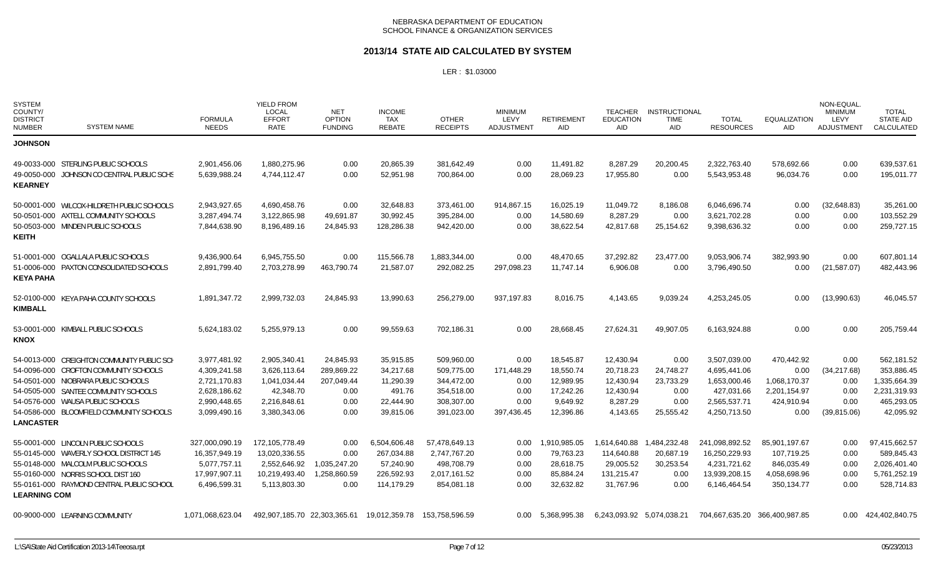### **2013/14 STATE AID CALCULATED BY SYSTEM**

| <b>SYSTEM</b><br>COUNTY/<br><b>DISTRICT</b><br><b>NUMBER</b> | <b>SYSTEM NAME</b>                         | <b>FORMULA</b><br><b>NEEDS</b> | <b>YIELD FROM</b><br><b>LOCAL</b><br><b>EFFORT</b><br><b>RATE</b> | <b>NET</b><br><b>OPTION</b><br><b>FUNDING</b> | <b>INCOME</b><br>TAX<br><b>REBATE</b> | <b>OTHER</b><br><b>RECEIPTS</b> | <b>MINIMUM</b><br>LEVY<br>ADJUSTMENT | <b>RETIREMENT</b><br><b>AID</b> | <b>TEACHER</b><br><b>EDUCATION</b><br>AID | <b>INSTRUCTIONAL</b><br><b>TIME</b><br><b>AID</b> | <b>TOTAL</b><br><b>RESOURCES</b> | <b>EQUALIZATION</b><br>AID | <b>NON-EQUAL</b><br><b>MINIMUM</b><br>LEVY<br>ADJUSTMENT | <b>TOTAL</b><br><b>STATE AID</b><br>CALCULATED |
|--------------------------------------------------------------|--------------------------------------------|--------------------------------|-------------------------------------------------------------------|-----------------------------------------------|---------------------------------------|---------------------------------|--------------------------------------|---------------------------------|-------------------------------------------|---------------------------------------------------|----------------------------------|----------------------------|----------------------------------------------------------|------------------------------------------------|
| <b>JOHNSON</b>                                               |                                            |                                |                                                                   |                                               |                                       |                                 |                                      |                                 |                                           |                                                   |                                  |                            |                                                          |                                                |
|                                                              | 49-0033-000 STERLING PUBLIC SCHOOLS        | 2,901,456.06                   | 1,880,275.96                                                      | 0.00                                          | 20,865.39                             | 381,642.49                      | 0.00                                 | 11,491.82                       | 8,287.29                                  | 20,200.45                                         | 2,322,763.40                     | 578,692.66                 | 0.00                                                     | 639,537.61                                     |
| <b>KEARNEY</b>                                               | 49-0050-000 JOHNSON CO CENTRAL PUBLIC SCHS | 5,639,988.24                   | 4.744.112.47                                                      | 0.00                                          | 52,951.98                             | 700,864.00                      | 0.00                                 | 28,069.23                       | 17,955.80                                 | 0.00                                              | 5,543,953.48                     | 96,034.76                  | 0.00                                                     | 195,011.77                                     |
|                                                              | 50-0001-000 WILCOX-HILDRETH PUBLIC SCHOOLS | 2,943,927.65                   | 4,690,458.76                                                      | 0.00                                          | 32,648.83                             | 373,461.00                      | 914,867.15                           | 16,025.19                       | 11,049.72                                 | 8,186.08                                          | 6,046,696.74                     | 0.00                       | (32,648.83)                                              | 35,261.00                                      |
|                                                              | 50-0501-000 AXTELL COMMUNITY SCHOOLS       | 3,287,494.74                   | 3,122,865.98                                                      | 49,691.87                                     | 30,992.45                             | 395,284.00                      | 0.00                                 | 14,580.69                       | 8,287.29                                  | 0.00                                              | 3,621,702.28                     | 0.00                       | 0.00                                                     | 103,552.29                                     |
| <b>KEITH</b>                                                 | 50-0503-000 MINDEN PUBLIC SCHOOLS          | 7,844,638.90                   | 8,196,489.16                                                      | 24,845.93                                     | 128,286.38                            | 942,420.00                      | 0.00                                 | 38,622.54                       | 42,817.68                                 | 25,154.62                                         | 9,398,636.32                     | 0.00                       | 0.00                                                     | 259,727.15                                     |
|                                                              | 51-0001-000 OGALLALA PUBLIC SCHOOLS        | 9,436,900.64                   | 6,945,755.50                                                      | 0.00                                          | 115,566.78                            | 1,883,344.00                    | 0.00                                 | 48,470.65                       | 37,292.82                                 | 23,477.00                                         | 9,053,906.74                     | 382,993.90                 | 0.00                                                     | 607,801.14                                     |
| <b>KEYA PAHA</b>                                             | 51-0006-000 PAXTON CONSOLIDATED SCHOOLS    | 2,891,799.40                   | 2,703,278.99                                                      | 463,790.74                                    | 21,587.07                             | 292,082.25                      | 297,098.23                           | 11,747.14                       | 6,906.08                                  | 0.00                                              | 3,796,490.50                     | 0.00                       | (21, 587.07)                                             | 482,443.96                                     |
| <b>KIMBALL</b>                                               | 52-0100-000 KEYA PAHA COUNTY SCHOOLS       | 1,891,347.72                   | 2,999,732.03                                                      | 24,845.93                                     | 13,990.63                             | 256,279.00                      | 937,197.83                           | 8,016.75                        | 4,143.65                                  | 9,039.24                                          | 4,253,245.05                     | 0.00                       | (13,990.63)                                              | 46,045.57                                      |
| <b>KNOX</b>                                                  | 53-0001-000 KIMBALL PUBLIC SCHOOLS         | 5,624,183.02                   | 5,255,979.13                                                      | 0.00                                          | 99,559.63                             | 702,186.31                      | 0.00                                 | 28,668.45                       | 27,624.31                                 | 49,907.05                                         | 6,163,924.88                     | 0.00                       | 0.00                                                     | 205,759.44                                     |
|                                                              | 54-0013-000 CREIGHTON COMMUNITY PUBLIC SCH | 3,977,481.92                   | 2,905,340.41                                                      | 24,845.93                                     | 35,915.85                             | 509.960.00                      | 0.00                                 | 18,545.87                       | 12,430.94                                 | 0.00                                              | 3,507,039.00                     | 470,442.92                 | 0.00                                                     | 562,181.52                                     |
|                                                              | 54-0096-000 CROFTON COMMUNITY SCHOOLS      | 4,309,241.58                   | 3,626,113.64                                                      | 289,869.22                                    | 34,217.68                             | 509,775.00                      | 171,448.29                           | 18,550.74                       | 20,718.23                                 | 24,748.27                                         | 4,695,441.06                     | 0.00                       | (34, 217.68)                                             | 353,886.45                                     |
|                                                              | 54-0501-000 NIOBRARA PUBLIC SCHOOLS        | 2,721,170.83                   | 1,041,034.44                                                      | 207,049.44                                    | 11.290.39                             | 344,472.00                      | 0.00                                 | 12.989.95                       | 12,430.94                                 | 23.733.29                                         | 1,653,000.46                     | 1,068,170.37               | 0.00                                                     | 1,335,664.39                                   |
|                                                              | 54-0505-000 SANTEE COMMUNITY SCHOOLS       | 2,628,186.62                   | 42,348.70                                                         | 0.00                                          | 491.76                                | 354,518.00                      | 0.00                                 | 17,242.26                       | 12,430.94                                 | 0.00                                              | 427,031.66                       | 2,201,154.97               | 0.00                                                     | 2,231,319.93                                   |
|                                                              | 54-0576-000 WAUSA PUBLIC SCHOOLS           | 2,990,448.65                   | 2,216,848.61                                                      | 0.00                                          | 22.444.90                             | 308,307.00                      | 0.00                                 | 9.649.92                        | 8,287.29                                  | 0.00                                              | 2,565,537.71                     | 424.910.94                 | 0.00                                                     | 465,293.05                                     |
| <b>LANCASTER</b>                                             | 54-0586-000 BLOOMFIELD COMMUNITY SCHOOLS   | 3,099,490.16                   | 3,380,343.06                                                      | 0.00                                          | 39,815.06                             | 391,023.00                      | 397,436.45                           | 12,396.86                       | 4,143.65                                  | 25,555.42                                         | 4,250,713.50                     | 0.00                       | (39, 815.06)                                             | 42,095.92                                      |
|                                                              | 55-0001-000 LINCOLN PUBLIC SCHOOLS         | 327,000,090.19                 | 172,105,778.49                                                    | 0.00                                          | 6,504,606.48                          | 57,478,649.13                   | 0.00                                 | 1,910,985.05                    | 1,614,640.88                              | ,484,232.48                                       | 241,098,892.52                   | 85,901,197.67              | 0.00                                                     | 97,415,662.57                                  |
|                                                              | 55-0145-000 WAVERLY SCHOOL DISTRICT 145    | 16,357,949.19                  | 13,020,336.55                                                     | 0.00                                          | 267,034.88                            | 2,747,767.20                    | 0.00                                 | 79,763.23                       | 114,640.88                                | 20,687.19                                         | 16,250,229.93                    | 107,719.25                 | 0.00                                                     | 589,845.43                                     |
|                                                              | 55-0148-000 MALCOLM PUBLIC SCHOOLS         | 5,077,757.11                   | 2,552,646.92                                                      | 1,035,247.20                                  | 57,240.90                             | 498,708.79                      | 0.00                                 | 28,618.75                       | 29,005.52                                 | 30,253.54                                         | 4,231,721.62                     | 846,035.49                 | 0.00                                                     | 2,026,401.40                                   |
|                                                              | 55-0160-000 NORRIS SCHOOL DIST 160         | 17,997,907.11                  | 10,219,493.40                                                     | 1,258,860.59                                  | 226,592.93                            | 2,017,161.52                    | 0.00                                 | 85,884.24                       | 131,215.47                                | 0.00                                              | 13,939,208.15                    | 4,058,698.96               | 0.00                                                     | 5,761,252.19                                   |
| <b>LEARNING COM</b>                                          | 55-0161-000 RAYMOND CENTRAL PUBLIC SCHOOL  | 6,496,599.31                   | 5,113,803.30                                                      | 0.00                                          | 114,179.29                            | 854,081.18                      | 0.00                                 | 32,632.82                       | 31,767.96                                 | 0.00                                              | 6,146,464.54                     | 350,134.77                 | 0.00                                                     | 528,714.83                                     |
|                                                              | 00-9000-000 LEARNING COMMUNITY             | 1,071,068,623.04               | 492,907,185.70 22,303,365.61                                      |                                               | 19,012,359.78                         | 153.758.596.59                  | 0.00 <sub>1</sub>                    | 5,368,995.38                    |                                           | 6,243,093.92 5,074,038.21                         | 704,667,635.20 366,400,987.85    |                            | 0.00                                                     | 424,402,840.75                                 |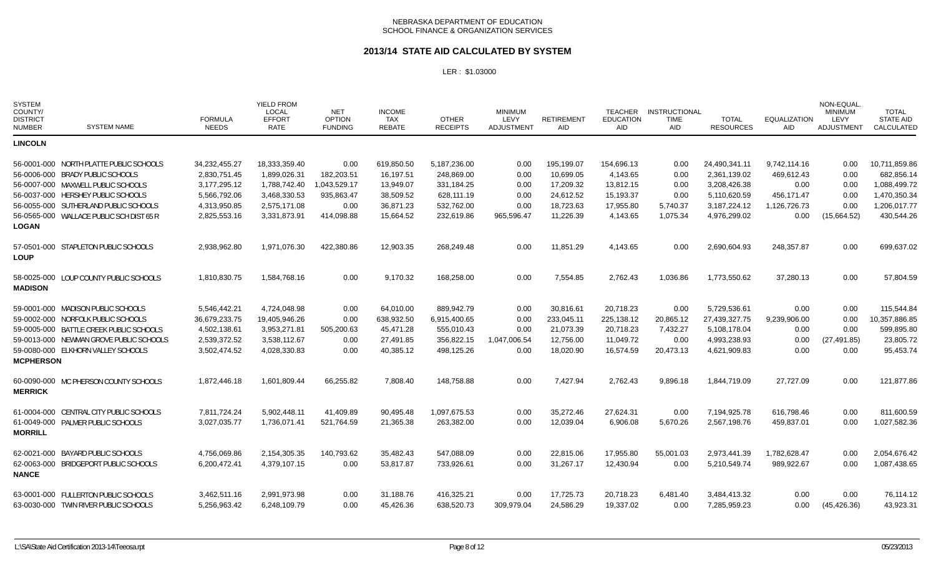### **2013/14 STATE AID CALCULATED BY SYSTEM**

| <b>SYSTEM</b><br>COUNTY/<br><b>DISTRICT</b><br><b>NUMBER</b> | <b>SYSTEM NAME</b>                       | <b>FORMULA</b><br><b>NEEDS</b> | <b>YIELD FROM</b><br><b>LOCAL</b><br><b>EFFORT</b><br><b>RATE</b> | <b>NET</b><br><b>OPTION</b><br><b>FUNDING</b> | <b>INCOME</b><br><b>TAX</b><br><b>REBATE</b> | <b>OTHER</b><br><b>RECEIPTS</b> | <b>MINIMUM</b><br>LEVY<br>ADJUSTMENT | <b>RETIREMENT</b><br><b>AID</b> | <b>TEACHER</b><br><b>EDUCATION</b><br><b>AID</b> | <b>INSTRUCTIONAL</b><br><b>TIME</b><br>AID | <b>TOTAL</b><br><b>RESOURCES</b> | <b>EQUALIZATION</b><br><b>AID</b> | NON-EQUAL<br><b>MINIMUM</b><br>LEVY<br><b>ADJUSTMENT</b> | TOTAL<br><b>STATE AID</b><br>CALCULATED |
|--------------------------------------------------------------|------------------------------------------|--------------------------------|-------------------------------------------------------------------|-----------------------------------------------|----------------------------------------------|---------------------------------|--------------------------------------|---------------------------------|--------------------------------------------------|--------------------------------------------|----------------------------------|-----------------------------------|----------------------------------------------------------|-----------------------------------------|
| LINCOLN                                                      |                                          |                                |                                                                   |                                               |                                              |                                 |                                      |                                 |                                                  |                                            |                                  |                                   |                                                          |                                         |
|                                                              | 56-0001-000 NORTH PLATTE PUBLIC SCHOOLS  | 34,232,455.27                  | 18,333,359.40                                                     | 0.00                                          | 619,850.50                                   | 5,187,236.00                    | 0.00                                 | 195,199.07                      | 154,696.13                                       | 0.00                                       | 24,490,341.11                    | 9,742,114.16                      | 0.00                                                     | 10,711,859.86                           |
|                                                              | 56-0006-000 BRADY PUBLIC SCHOOLS         | 2,830,751.45                   | 1,899,026.31                                                      | 182,203.51                                    | 16,197.51                                    | 248.869.00                      | 0.00                                 | 10,699.05                       | 4,143.65                                         | 0.00                                       | 2,361,139.02                     | 469,612.43                        | 0.00                                                     | 682,856.14                              |
|                                                              | 56-0007-000 MAXWELL PUBLIC SCHOOLS       | 3,177,295.12                   | 1,788,742.40                                                      | 1,043,529.17                                  | 13,949.07                                    | 331,184.25                      | 0.00                                 | 17,209.32                       | 13,812.15                                        | 0.00                                       | 3,208,426.38                     | 0.00                              | 0.00                                                     | 1,088,499.72                            |
|                                                              | 56-0037-000 HERSHEY PUBLIC SCHOOLS       | 5,566,792.06                   | 3,468,330.53                                                      | 935,863.47                                    | 38,509.52                                    | 628,111.19                      | 0.00                                 | 24,612.52                       | 15,193.37                                        | 0.00                                       | 5,110,620.59                     | 456,171.47                        | 0.00                                                     | 1,470,350.34                            |
|                                                              | 56-0055-000 SUTHERLAND PUBLIC SCHOOLS    | 4,313,950.85                   | 2,575,171.08                                                      | 0.00                                          | 36,871.23                                    | 532,762.00                      | 0.00                                 | 18,723.63                       | 17,955.80                                        | 5,740.37                                   | 3,187,224.12                     | 1,126,726.73                      | 0.00                                                     | 1,206,017.77                            |
| <b>LOGAN</b>                                                 | 56-0565-000 WALLACE PUBLIC SCH DIST 65 R | 2,825,553.16                   | 3,331,873.91                                                      | 414,098.88                                    | 15,664.52                                    | 232,619.86                      | 965,596.47                           | 11,226.39                       | 4,143.65                                         | 1,075.34                                   | 4,976,299.02                     | 0.00                              | (15,664.52)                                              | 430,544.26                              |
| <b>LOUP</b>                                                  | 57-0501-000 STAPLETON PUBLIC SCHOOLS     | 2,938,962.80                   | 1,971,076.30                                                      | 422,380.86                                    | 12,903.35                                    | 268,249.48                      | 0.00                                 | 11,851.29                       | 4,143.65                                         | 0.00                                       | 2,690,604.93                     | 248,357.87                        | 0.00                                                     | 699,637.02                              |
| <b>MADISON</b>                                               | 58-0025-000 LOUP COUNTY PUBLIC SCHOOLS   | 1,810,830.75                   | 1,584,768.16                                                      | 0.00                                          | 9,170.32                                     | 168,258.00                      | 0.00                                 | 7,554.85                        | 2,762.43                                         | 1,036.86                                   | 1,773,550.62                     | 37,280.13                         | 0.00                                                     | 57,804.59                               |
|                                                              | 59-0001-000 MADISON PUBLIC SCHOOLS       | 5,546,442.21                   | 4.724.048.98                                                      | 0.00                                          | 64,010.00                                    | 889.942.79                      | 0.00                                 | 30,816.61                       | 20.718.23                                        | 0.00                                       | 5,729,536.61                     | 0.00                              | 0.00                                                     | 115,544.84                              |
|                                                              | 59-0002-000 NORFOLK PUBLIC SCHOOLS       | 36,679,233.75                  | 19,405,946.26                                                     | 0.00                                          | 638,932.50                                   | 6,915,400.65                    | 0.00                                 | 233,045.11                      | 225,138.12                                       | 20,865.12                                  | 27,439,327.75                    | 9,239,906.00                      | 0.00                                                     | 10,357,886.85                           |
|                                                              | 59-0005-000 BATTLE CREEK PUBLIC SCHOOLS  | 4,502,138.61                   | 3,953,271.81                                                      | 505,200.63                                    | 45,471.28                                    | 555,010.43                      | 0.00                                 | 21,073.39                       | 20,718.23                                        | 7,432.27                                   | 5,108,178.04                     | 0.00                              | 0.00                                                     | 599,895.80                              |
|                                                              | 59-0013-000 NEWMAN GROVE PUBLIC SCHOOLS  | 2,539,372.52                   | 3,538,112.67                                                      | 0.00                                          | 27,491.85                                    | 356,822.15                      | 1,047,006.54                         | 12,756.00                       | 11,049.72                                        | 0.00                                       | 4,993,238.93                     | 0.00                              | (27, 491.85)                                             | 23,805.72                               |
| <b>MCPHERSON</b>                                             | 59-0080-000 ELKHORN VALLEY SCHOOLS       | 3,502,474.52                   | 4,028,330.83                                                      | 0.00                                          | 40,385.12                                    | 498,125.26                      | 0.00                                 | 18,020.90                       | 16,574.59                                        | 20,473.13                                  | 4,621,909.83                     | 0.00                              | 0.00                                                     | 95,453.74                               |
| <b>MERRICK</b>                                               | 60-0090-000 MC PHERSON COUNTY SCHOOLS    | 1,872,446.18                   | 1,601,809.44                                                      | 66,255.82                                     | 7,808.40                                     | 148,758.88                      | 0.00                                 | 7,427.94                        | 2,762.43                                         | 9,896.18                                   | 1,844,719.09                     | 27,727.09                         | 0.00                                                     | 121,877.86                              |
|                                                              | 61-0004-000 CENTRAL CITY PUBLIC SCHOOLS  | 7,811,724.24                   | 5,902,448.11                                                      | 41,409.89                                     | 90,495.48                                    | 1,097,675.53                    | 0.00                                 | 35,272.46                       | 27,624.31                                        | 0.00                                       | 7,194,925.78                     | 616,798.46                        | 0.00                                                     | 811,600.59                              |
| <b>MORRILL</b>                                               | 61-0049-000 PALMER PUBLIC SCHOOLS        | 3,027,035.77                   | 1,736,071.41                                                      | 521,764.59                                    | 21,365.38                                    | 263,382.00                      | 0.00                                 | 12,039.04                       | 6,906.08                                         | 5,670.26                                   | 2,567,198.76                     | 459,837.01                        | 0.00                                                     | 1,027,582.36                            |
|                                                              | 62-0021-000 BAYARD PUBLIC SCHOOLS        | 4,756,069.86                   | 2,154,305.35                                                      | 140,793.62                                    | 35,482.43                                    | 547,088.09                      | 0.00                                 | 22,815.06                       | 17,955.80                                        | 55,001.03                                  | 2,973,441.39                     | 1,782,628.47                      | 0.00                                                     | 2,054,676.42                            |
| <b>NANCE</b>                                                 | 62-0063-000 BRIDGEPORT PUBLIC SCHOOLS    | 6,200,472.41                   | 4,379,107.15                                                      | 0.00                                          | 53,817.87                                    | 733,926.61                      | 0.00                                 | 31,267.17                       | 12,430.94                                        | 0.00                                       | 5,210,549.74                     | 989,922.67                        | 0.00                                                     | 1,087,438.65                            |
|                                                              | 63-0001-000 FULLERTON PUBLIC SCHOOLS     | 3,462,511.16                   | 2,991,973.98                                                      | 0.00                                          | 31,188.76                                    | 416,325.21                      | 0.00                                 | 17,725.73                       | 20,718.23                                        | 6,481.40                                   | 3,484,413.32                     | 0.00                              | 0.00                                                     | 76,114.12                               |
|                                                              | 63-0030-000 TWIN RIVER PUBLIC SCHOOLS    | 5,256,963.42                   | 6,248,109.79                                                      | 0.00                                          | 45,426.36                                    | 638,520.73                      | 309,979.04                           | 24,586.29                       | 19,337.02                                        | 0.00                                       | 7,285,959.23                     | 0.00                              | (45, 426.36)                                             | 43,923.31                               |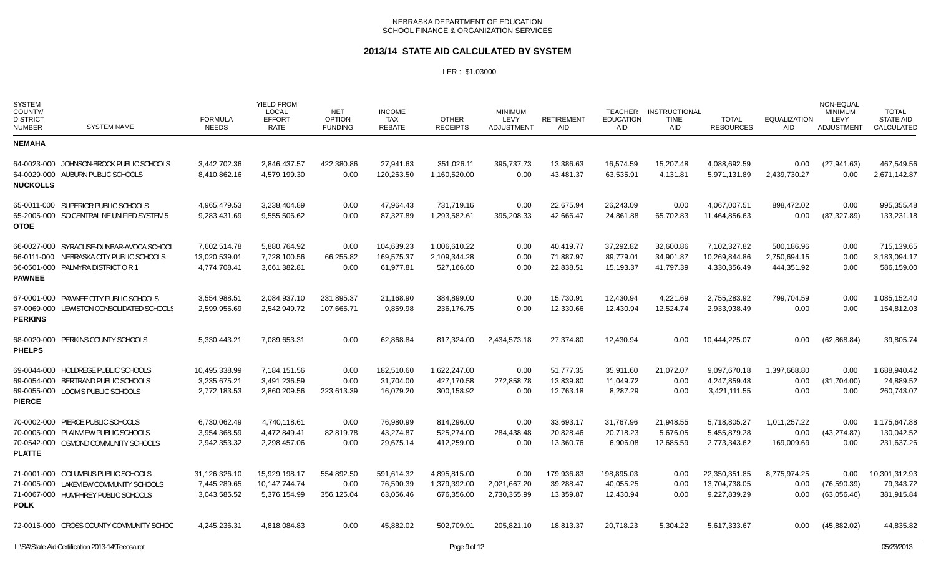#### **2013/14 STATE AID CALCULATED BY SYSTEM**

| <b>SYSTEM</b><br>COUNTY/<br><b>DISTRICT</b><br><b>SYSTEM NAME</b><br><b>NUMBER</b> | <b>FORMULA</b><br><b>NEEDS</b> | <b>YIELD FROM</b><br><b>LOCAL</b><br><b>EFFORT</b><br><b>RATE</b> | <b>NET</b><br><b>OPTION</b><br><b>FUNDING</b> | <b>INCOME</b><br><b>TAX</b><br><b>REBATE</b> | <b>OTHER</b><br><b>RECEIPTS</b> | <b>MINIMUM</b><br>LEVY<br><b>ADJUSTMENT</b> | <b>RETIREMENT</b><br><b>AID</b> | <b>TEACHER</b><br><b>EDUCATION</b><br>AID | <b>INSTRUCTIONAL</b><br><b>TIME</b><br>AID | <b>TOTAL</b><br><b>RESOURCES</b> | <b>EQUALIZATION</b><br><b>AID</b> | NON-EQUAL<br><b>MINIMUM</b><br>LEVY<br><b>ADJUSTMENT</b> | <b>TOTAL</b><br><b>STATE AID</b><br><b>CALCULATED</b> |
|------------------------------------------------------------------------------------|--------------------------------|-------------------------------------------------------------------|-----------------------------------------------|----------------------------------------------|---------------------------------|---------------------------------------------|---------------------------------|-------------------------------------------|--------------------------------------------|----------------------------------|-----------------------------------|----------------------------------------------------------|-------------------------------------------------------|
| <b>NEMAHA</b>                                                                      |                                |                                                                   |                                               |                                              |                                 |                                             |                                 |                                           |                                            |                                  |                                   |                                                          |                                                       |
| 64-0023-000 JOHNSON-BROCK PUBLIC SCHOOLS                                           | 3,442,702.36                   | 2,846,437.57                                                      | 422,380.86                                    | 27,941.63                                    | 351,026.11                      | 395,737.73                                  | 13,386.63                       | 16,574.59                                 | 15,207.48                                  | 4,088,692.59                     | 0.00                              | (27, 941.63)                                             | 467,549.56                                            |
| 64-0029-000 AUBURN PUBLIC SCHOOLS<br><b>NUCKOLLS</b>                               | 8,410,862.16                   | 4,579,199.30                                                      | 0.00                                          | 120,263.50                                   | 1,160,520.00                    | 0.00                                        | 43,481.37                       | 63,535.91                                 | 4,131.81                                   | 5,971,131.89                     | 2,439,730.27                      | 0.00                                                     | 2,671,142.87                                          |
| 65-0011-000 SUPERIOR PUBLIC SCHOOLS                                                | 4,965,479.53                   | 3,238,404.89                                                      | 0.00                                          | 47,964.43                                    | 731,719.16                      | 0.00                                        | 22,675.94                       | 26,243.09                                 | 0.00                                       | 4,067,007.51                     | 898,472.02                        | 0.00                                                     | 995,355.48                                            |
| 65-2005-000 SO CENTRAL NE UNIFIED SYSTEM 5<br><b>OTOE</b>                          | 9,283,431.69                   | 9,555,506.62                                                      | 0.00                                          | 87,327.89                                    | 1,293,582.61                    | 395,208.33                                  | 42,666.47                       | 24,861.88                                 | 65,702.83                                  | 11,464,856.63                    | 0.00                              | (87, 327.89)                                             | 133,231.18                                            |
| 66-0027-000 SYRACUSE-DUNBAR-AVOCA SCHOOL                                           | 7,602,514.78                   | 5.880.764.92                                                      | 0.00                                          | 104,639.23                                   | 1.006.610.22                    | 0.00                                        | 40.419.77                       | 37,292.82                                 | 32,600.86                                  | 7,102,327.82                     | 500.186.96                        | 0.00                                                     | 715,139.65                                            |
| 66-0111-000 NEBRASKA CITY PUBLIC SCHOOLS                                           | 13,020,539.01                  | 7,728,100.56                                                      | 66,255.82                                     | 169,575.37                                   | 2,109,344.28                    | 0.00                                        | 71,887.97                       | 89,779.01                                 | 34,901.87                                  | 10,269,844.86                    | 2,750,694.15                      | 0.00                                                     | 3,183,094.17                                          |
| 66-0501-000 PALMYRA DISTRICT OR 1<br><b>PAWNEE</b>                                 | 4,774,708.41                   | 3,661,382.81                                                      | 0.00                                          | 61,977.81                                    | 527,166.60                      | 0.00                                        | 22,838.51                       | 15,193.37                                 | 41,797.39                                  | 4,330,356.49                     | 444,351.92                        | 0.00                                                     | 586,159.00                                            |
| 67-0001-000 PAWNEE CITY PUBLIC SCHOOLS                                             | 3,554,988.51                   | 2,084,937.10                                                      | 231,895.37                                    | 21,168.90                                    | 384,899.00                      | 0.00                                        | 15,730.91                       | 12,430.94                                 | 4,221.69                                   | 2,755,283.92                     | 799,704.59                        | 0.00                                                     | 1,085,152.40                                          |
| 67-0069-000 LEWISTON CONSOLIDATED SCHOOLS<br><b>PERKINS</b>                        | 2,599,955.69                   | 2,542,949.72                                                      | 107,665.71                                    | 9,859.98                                     | 236,176.75                      | 0.00                                        | 12,330.66                       | 12,430.94                                 | 12,524.74                                  | 2,933,938.49                     | 0.00                              | 0.00                                                     | 154,812.03                                            |
| 68-0020-000 PERKINS COUNTY SCHOOLS<br><b>PHELPS</b>                                | 5,330,443.21                   | 7,089,653.31                                                      | 0.00                                          | 62,868.84                                    | 817,324.00                      | 2,434,573.18                                | 27,374.80                       | 12,430.94                                 | 0.00                                       | 10,444,225.07                    | 0.00                              | (62,868.84)                                              | 39,805.74                                             |
| 69-0044-000 HOLDREGE PUBLIC SCHOOLS                                                | 10,495,338.99                  | 7,184,151.56                                                      | 0.00                                          | 182,510.60                                   | 1,622,247.00                    | 0.00                                        | 51,777.35                       | 35,911.60                                 | 21,072.07                                  | 9,097,670.18                     | 1,397,668.80                      | 0.00                                                     | 1,688,940.42                                          |
| 69-0054-000 BERTRAND PUBLIC SCHOOLS                                                | 3,235,675.21                   | 3,491,236.59                                                      | 0.00                                          | 31,704.00                                    | 427,170.58                      | 272,858.78                                  | 13.839.80                       | 11,049.72                                 | 0.00                                       | 4,247,859.48                     | 0.00                              | (31,704.00)                                              | 24,889.52                                             |
| 69-0055-000 LOOMIS PUBLIC SCHOOLS<br><b>PIERCE</b>                                 | 2,772,183.53                   | 2,860,209.56                                                      | 223,613.39                                    | 16,079.20                                    | 300,158.92                      | 0.00                                        | 12,763.18                       | 8,287.29                                  | 0.00                                       | 3,421,111.55                     | 0.00                              | 0.00                                                     | 260,743.07                                            |
| 70-0002-000 PIERCE PUBLIC SCHOOLS                                                  | 6,730,062.49                   | 4,740,118.61                                                      | 0.00                                          | 76,980.99                                    | 814,296.00                      | 0.00                                        | 33,693.17                       | 31,767.96                                 | 21,948.55                                  | 5,718,805.27                     | 1,011,257.22                      | 0.00                                                     | 1,175,647.88                                          |
| 70-0005-000 PLAINVIEW PUBLIC SCHOOLS                                               | 3,954,368.59                   | 4,472,849.41                                                      | 82,819.78                                     | 43,274.87                                    | 525,274.00                      | 284,438.48                                  | 20,828.46                       | 20,718.23                                 | 5,676.05                                   | 5,455,879.28                     | 0.00                              | (43, 274.87)                                             | 130,042.52                                            |
| 70-0542-000 OSMOND COMMUNITY SCHOOLS<br><b>PLATTE</b>                              | 2,942,353.32                   | 2,298,457.06                                                      | 0.00                                          | 29,675.14                                    | 412,259.00                      | 0.00                                        | 13,360.76                       | 6,906.08                                  | 12,685.59                                  | 2,773,343.62                     | 169,009.69                        | 0.00                                                     | 231,637.26                                            |
| 71-0001-000 COLUMBUS PUBLIC SCHOOLS                                                | 31,126,326.10                  | 15,929,198.17                                                     | 554,892.50                                    | 591,614.32                                   | 4,895,815.00                    | 0.00                                        | 179,936.83                      | 198,895.03                                | 0.00                                       | 22,350,351.85                    | 8,775,974.25                      | 0.00                                                     | 10,301,312.93                                         |
| 71-0005-000 LAKEVIEW COMMUNITY SCHOOLS                                             | 7,445,289.65                   | 10,147,744.74                                                     | 0.00                                          | 76,590.39                                    | 1,379,392.00                    | 2,021,667.20                                | 39,288.47                       | 40,055.25                                 | 0.00                                       | 13,704,738.05                    | 0.00                              | (76,590.39)                                              | 79,343.72                                             |
| 71-0067-000 HUMPHREY PUBLIC SCHOOLS<br><b>POLK</b>                                 | 3,043,585.52                   | 5,376,154.99                                                      | 356,125.04                                    | 63,056.46                                    | 676,356.00                      | 2,730,355.99                                | 13,359.87                       | 12,430.94                                 | 0.00                                       | 9,227,839.29                     | 0.00                              | (63,056.46)                                              | 381,915.84                                            |
| 72-0015-000 CROSS COUNTY COMMUNITY SCHOO                                           | 4,245,236.31                   | 4,818,084.83                                                      | 0.00                                          | 45,882.02                                    | 502,709.91                      | 205,821.10                                  | 18,813.37                       | 20,718.23                                 | 5,304.22                                   | 5,617,333.67                     | 0.00                              | (45,882.02)                                              | 44,835.82                                             |
| L:\SA\State Aid Certification 2013-14\Teeosa.rpt                                   |                                |                                                                   |                                               |                                              | Page 9 of 12                    |                                             |                                 |                                           |                                            |                                  |                                   |                                                          | 05/23/2013                                            |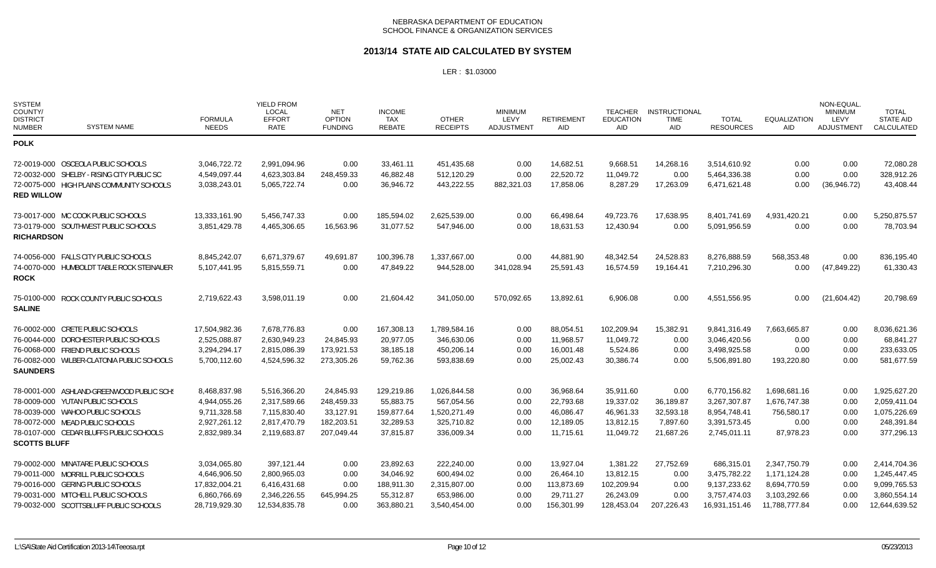### **2013/14 STATE AID CALCULATED BY SYSTEM**

| <b>SYSTEM</b><br>COUNTY/<br><b>DISTRICT</b><br><b>NUMBER</b> | <b>SYSTEM NAME</b>                         | <b>FORMULA</b><br><b>NEEDS</b> | <b>YIELD FROM</b><br><b>LOCAL</b><br><b>EFFORT</b><br>RATE | <b>NET</b><br><b>OPTION</b><br><b>FUNDING</b> | <b>INCOME</b><br><b>TAX</b><br><b>REBATE</b> | <b>OTHER</b><br><b>RECEIPTS</b> | <b>MINIMUM</b><br>LEVY<br>ADJUSTMENT | <b>RETIREMENT</b><br>AID | <b>TEACHER</b><br><b>EDUCATION</b><br>AID | <b>INSTRUCTIONAL</b><br><b>TIME</b><br>AID | <b>TOTAL</b><br><b>RESOURCES</b> | <b>EQUALIZATION</b><br>AID | NON-EQUAL<br><b>MINIMUM</b><br>LEVY<br>ADJUSTMENT | <b>TOTAL</b><br><b>STATE AID</b><br>CALCULATED |
|--------------------------------------------------------------|--------------------------------------------|--------------------------------|------------------------------------------------------------|-----------------------------------------------|----------------------------------------------|---------------------------------|--------------------------------------|--------------------------|-------------------------------------------|--------------------------------------------|----------------------------------|----------------------------|---------------------------------------------------|------------------------------------------------|
| <b>POLK</b>                                                  |                                            |                                |                                                            |                                               |                                              |                                 |                                      |                          |                                           |                                            |                                  |                            |                                                   |                                                |
|                                                              | 72-0019-000 OSCEOLA PUBLIC SCHOOLS         | 3,046,722.72                   | 2,991,094.96                                               | 0.00                                          | 33,461.11                                    | 451,435.68                      | 0.00                                 | 14,682.51                | 9,668.51                                  | 14,268.16                                  | 3,514,610.92                     | 0.00                       | 0.00                                              | 72,080.28                                      |
|                                                              | 72-0032-000 SHELBY - RISING CITY PUBLIC SC | 4,549,097.44                   | 4,623,303.84                                               | 248,459.33                                    | 46.882.48                                    | 512,120.29                      | 0.00                                 | 22,520.72                | 11,049.72                                 | 0.00                                       | 5,464,336.38                     | 0.00                       | 0.00                                              | 328,912.26                                     |
| <b>RED WILLOW</b>                                            | 72-0075-000 HIGH PLAINS COMMUNITY SCHOOLS  | 3,038,243.01                   | 5,065,722.74                                               | 0.00                                          | 36,946.72                                    | 443,222.55                      | 882,321.03                           | 17,858.06                | 8,287.29                                  | 17,263.09                                  | 6,471,621.48                     | 0.00                       | (36,946.72)                                       | 43,408.44                                      |
|                                                              | 73-0017-000 MC COOK PUBLIC SCHOOLS         | 13,333,161.90                  | 5,456,747.33                                               | 0.00                                          | 185,594.02                                   | 2,625,539.00                    | 0.00                                 | 66,498.64                | 49,723.76                                 | 17,638.95                                  | 8,401,741.69                     | 4,931,420.21               | 0.00                                              | 5,250,875.57                                   |
| <b>RICHARDSON</b>                                            | 73-0179-000 SOUTHWEST PUBLIC SCHOOLS       | 3,851,429.78                   | 4,465,306.65                                               | 16,563.96                                     | 31,077.52                                    | 547,946.00                      | 0.00                                 | 18,631.53                | 12,430.94                                 | 0.00                                       | 5,091,956.59                     | 0.00                       | 0.00                                              | 78,703.94                                      |
|                                                              | 74-0056-000 FALLS CITY PUBLIC SCHOOLS      | 8,845,242.07                   | 6,671,379.67                                               | 49,691.87                                     | 100,396.78                                   | 1,337,667.00                    | 0.00                                 | 44,881.90                | 48,342.54                                 | 24,528.83                                  | 8,276,888.59                     | 568,353.48                 | 0.00                                              | 836,195.40                                     |
| <b>ROCK</b>                                                  | 74-0070-000 HUMBOLDT TABLE ROCK STEINAUER  | 5,107,441.95                   | 5,815,559.71                                               | 0.00                                          | 47,849.22                                    | 944,528.00                      | 341,028.94                           | 25,591.43                | 16,574.59                                 | 19,164.41                                  | 7,210,296.30                     | 0.00                       | (47, 849.22)                                      | 61,330.43                                      |
| <b>SALINE</b>                                                | 75-0100-000 ROCK COUNTY PUBLIC SCHOOLS     | 2,719,622.43                   | 3,598,011.19                                               | 0.00                                          | 21,604.42                                    | 341,050.00                      | 570,092.65                           | 13,892.61                | 6,906.08                                  | 0.00                                       | 4,551,556.95                     | 0.00                       | (21,604.42)                                       | 20,798.69                                      |
|                                                              | 76-0002-000 CRETE PUBLIC SCHOOLS           | 17,504,982.36                  | 7,678,776.83                                               | 0.00                                          | 167,308.13                                   | 1,789,584.16                    | 0.00                                 | 88,054.51                | 102,209.94                                | 15,382.91                                  | 9,841,316.49                     | 7,663,665.87               | 0.00                                              | 8,036,621.36                                   |
|                                                              | 76-0044-000 DORCHESTER PUBLIC SCHOOLS      | 2,525,088.87                   | 2,630,949.23                                               | 24,845.93                                     | 20,977.05                                    | 346,630.06                      | 0.00                                 | 11,968.57                | 11,049.72                                 | 0.00                                       | 3,046,420.56                     | 0.00                       | 0.00                                              | 68,841.27                                      |
|                                                              | 76-0068-000 FRIEND PUBLIC SCHOOLS          | 3,294,294.17                   | 2,815,086.39                                               | 173,921.53                                    | 38,185.18                                    | 450,206.14                      | 0.00                                 | 16,001.48                | 5,524.86                                  | 0.00                                       | 3,498,925.58                     | 0.00                       | 0.00                                              | 233,633.05                                     |
| <b>SAUNDERS</b>                                              | 76-0082-000 WILBER-CLATONIA PUBLIC SCHOOLS | 5,700,112.60                   | 4,524,596.32                                               | 273,305.26                                    | 59,762.36                                    | 593,838.69                      | 0.00                                 | 25,002.43                | 30,386.74                                 | 0.00                                       | 5,506,891.80                     | 193,220.80                 | 0.00                                              | 581,677.59                                     |
|                                                              | 78-0001-000 ASHLAND-GREENWOOD PUBLIC SCHS  | 8,468,837.98                   | 5,516,366.20                                               | 24,845.93                                     | 129,219.86                                   | 1,026,844.58                    | 0.00                                 | 36,968.64                | 35,911.60                                 | 0.00                                       | 6,770,156.82                     | 1,698,681.16               | 0.00                                              | 1,925,627.20                                   |
|                                                              | 78-0009-000 YUTAN PUBLIC SCHOOLS           | 4,944,055.26                   | 2,317,589.66                                               | 248,459.33                                    | 55,883.75                                    | 567,054.56                      | 0.00                                 | 22,793.68                | 19,337.02                                 | 36,189.87                                  | 3,267,307.87                     | 1,676,747.38               | 0.00                                              | 2,059,411.04                                   |
|                                                              | 78-0039-000 WAHOO PUBLIC SCHOOLS           | 9,711,328.58                   | 7,115,830.40                                               | 33,127.91                                     | 159,877.64                                   | 1,520,271.49                    | 0.00                                 | 46,086.47                | 46,961.33                                 | 32,593.18                                  | 8,954,748.41                     | 756,580.17                 | 0.00                                              | 1,075,226.69                                   |
|                                                              | 78-0072-000 MEAD PUBLIC SCHOOLS            | 2,927,261.12                   | 2,817,470.79                                               | 182,203.51                                    | 32,289.53                                    | 325,710.82                      | 0.00                                 | 12,189.05                | 13,812.15                                 | 7,897.60                                   | 3,391,573.45                     | 0.00                       | 0.00                                              | 248,391.84                                     |
| <b>SCOTTS BLUFF</b>                                          | 78-0107-000 CEDAR BLUFFS PUBLIC SCHOOLS    | 2,832,989.34                   | 2,119,683.87                                               | 207,049.44                                    | 37,815.87                                    | 336,009.34                      | 0.00                                 | 11,715.61                | 11,049.72                                 | 21,687.26                                  | 2,745,011.11                     | 87,978.23                  | 0.00                                              | 377,296.13                                     |
|                                                              | 79-0002-000 MINATARE PUBLIC SCHOOLS        | 3,034,065.80                   | 397,121.44                                                 | 0.00                                          | 23,892.63                                    | 222,240.00                      | 0.00                                 | 13,927.04                | 1,381.22                                  | 27,752.69                                  | 686,315.01                       | 2,347,750.79               | 0.00                                              | 2,414,704.36                                   |
|                                                              | 79-0011-000 MORRILL PUBLIC SCHOOLS         | 4,646,906.50                   | 2,800,965.03                                               | 0.00                                          | 34,046.92                                    | 600,494.02                      | 0.00                                 | 26,464.10                | 13,812.15                                 | 0.00                                       | 3,475,782.22                     | 1,171,124.28               | 0.00                                              | 1,245,447.45                                   |
|                                                              | 79-0016-000 GERING PUBLIC SCHOOLS          | 17,832,004.21                  | 6,416,431.68                                               | 0.00                                          | 188,911.30                                   | 2,315,807.00                    | 0.00                                 | 113,873.69               | 102,209.94                                | 0.00                                       | 9,137,233.62                     | 8,694,770.59               | 0.00                                              | 9,099,765.53                                   |
|                                                              | 79-0031-000 MITCHELL PUBLIC SCHOOLS        | 6,860,766.69                   | 2,346,226.55                                               | 645,994.25                                    | 55,312.87                                    | 653,986.00                      | 0.00                                 | 29,711.27                | 26,243.09                                 | 0.00                                       | 3,757,474.03                     | 3,103,292.66               | 0.00                                              | 3,860,554.14                                   |
|                                                              | 79-0032-000 SCOTTSBLUFF PUBLIC SCHOOLS     | 28,719,929.30                  | 12,534,835.78                                              | 0.00                                          | 363,880.21                                   | 3,540,454.00                    | 0.00                                 | 156,301.99               | 128,453.04                                | 207,226.43                                 | 16,931,151.46                    | 11,788,777.84              | 0.00                                              | 12,644,639.52                                  |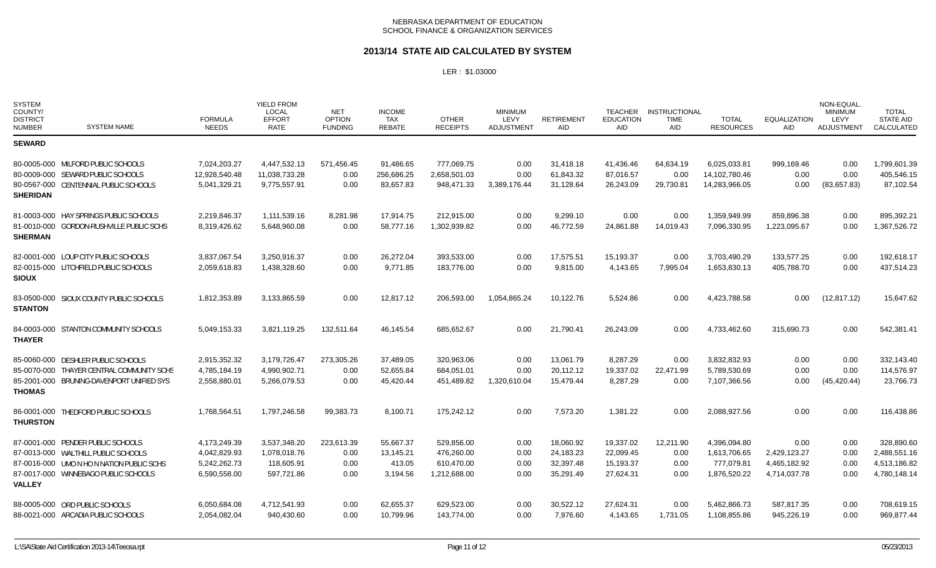### **2013/14 STATE AID CALCULATED BY SYSTEM**

| <b>SYSTEM</b><br>COUNTY/<br><b>DISTRICT</b><br><b>NUMBER</b> | <b>SYSTEM NAME</b>                        | <b>FORMULA</b><br><b>NEEDS</b> | <b>YIELD FROM</b><br>LOCAL<br><b>EFFORT</b><br><b>RATE</b> | <b>NET</b><br><b>OPTION</b><br><b>FUNDING</b> | <b>INCOME</b><br><b>TAX</b><br><b>REBATE</b> | <b>OTHER</b><br><b>RECEIPTS</b> | <b>MINIMUM</b><br>LEVY<br>ADJUSTMENT | <b>RETIREMENT</b><br>AID | <b>TEACHER</b><br><b>EDUCATION</b><br>AID | <b>INSTRUCTIONAL</b><br><b>TIME</b><br>AID | <b>TOTAL</b><br><b>RESOURCES</b> | <b>EQUALIZATION</b><br>AID | NON-EQUAL<br><b>MINIMUM</b><br>LEVY<br>ADJUSTMENT | <b>TOTAL</b><br><b>STATE AID</b><br>CALCULATED |
|--------------------------------------------------------------|-------------------------------------------|--------------------------------|------------------------------------------------------------|-----------------------------------------------|----------------------------------------------|---------------------------------|--------------------------------------|--------------------------|-------------------------------------------|--------------------------------------------|----------------------------------|----------------------------|---------------------------------------------------|------------------------------------------------|
| <b>SEWARD</b>                                                |                                           |                                |                                                            |                                               |                                              |                                 |                                      |                          |                                           |                                            |                                  |                            |                                                   |                                                |
|                                                              | 80-0005-000 MILFORD PUBLIC SCHOOLS        | 7,024,203.27                   | 4,447,532.13                                               | 571,456.45                                    | 91,486.65                                    | 777,069.75                      | 0.00                                 | 31,418.18                | 41,436.46                                 | 64,634.19                                  | 6,025,033.81                     | 999.169.46                 | 0.00                                              | 1,799,601.39                                   |
|                                                              | 80-0009-000 SEWARD PUBLIC SCHOOLS         | 12,928,540.48                  | 11,038,733.28                                              | 0.00                                          | 256,686.25                                   | 2,658,501.03                    | 0.00                                 | 61,843.32                | 87,016.57                                 | 0.00                                       | 14,102,780.46                    | 0.00                       | 0.00                                              | 405,546.15                                     |
|                                                              | 80-0567-000 CENTENNIAL PUBLIC SCHOOLS     | 5,041,329.21                   | 9,775,557.91                                               | 0.00                                          | 83,657.83                                    | 948,471.33                      | 3,389,176.44                         | 31,128.64                | 26,243.09                                 | 29,730.81                                  | 14,283,966.05                    | 0.00                       | (83,657.83)                                       | 87,102.54                                      |
| <b>SHERIDAN</b>                                              |                                           |                                |                                                            |                                               |                                              |                                 |                                      |                          |                                           |                                            |                                  |                            |                                                   |                                                |
|                                                              | 81-0003-000 HAY SPRINGS PUBLIC SCHOOLS    | 2,219,846.37                   | 1,111,539.16                                               | 8,281.98                                      | 17,914.75                                    | 212.915.00                      | 0.00                                 | 9.299.10                 | 0.00                                      | 0.00                                       | 1,359,949.99                     | 859.896.38                 | 0.00                                              | 895,392.21                                     |
| <b>SHERMAN</b>                                               | 81-0010-000 GORDON-RUSHVILLE PUBLIC SCHS  | 8,319,426.62                   | 5,648,960.08                                               | 0.00                                          | 58.777.16                                    | 1,302,939.82                    | 0.00                                 | 46,772.59                | 24,861.88                                 | 14,019.43                                  | 7,096,330.95                     | 1,223,095.67               | 0.00                                              | 1,367,526.72                                   |
|                                                              | 82-0001-000 LOUP CITY PUBLIC SCHOOLS      | 3,837,067.54                   | 3,250,916.37                                               | 0.00                                          | 26,272.04                                    | 393,533.00                      | 0.00                                 | 17,575.51                | 15,193.37                                 | 0.00                                       | 3,703,490.29                     | 133.577.25                 | 0.00                                              | 192,618.17                                     |
| <b>SIOUX</b>                                                 | 82-0015-000 LITCHFIELD PUBLIC SCHOOLS     | 2,059,618.83                   | 1,438,328.60                                               | 0.00                                          | 9,771.85                                     | 183,776.00                      | 0.00                                 | 9,815.00                 | 4,143.65                                  | 7,995.04                                   | 1,653,830.13                     | 405,788.70                 | 0.00                                              | 437,514.23                                     |
| <b>STANTON</b>                                               | 83-0500-000 SIOUX COUNTY PUBLIC SCHOOLS   | 1,812,353.89                   | 3,133,865.59                                               | 0.00                                          | 12,817.12                                    | 206,593.00                      | 1,054,865.24                         | 10,122.76                | 5,524.86                                  | 0.00                                       | 4,423,788.58                     | 0.00                       | (12, 817.12)                                      | 15,647.62                                      |
| <b>THAYER</b>                                                | 84-0003-000 STANTON COMMUNITY SCHOOLS     | 5,049,153.33                   | 3,821,119.25                                               | 132,511.64                                    | 46,145.54                                    | 685,652.67                      | 0.00                                 | 21,790.41                | 26,243.09                                 | 0.00                                       | 4,733,462.60                     | 315,690.73                 | 0.00                                              | 542,381.41                                     |
|                                                              | 85-0060-000 DESHLER PUBLIC SCHOOLS        | 2,915,352.32                   | 3,179,726.47                                               | 273,305.26                                    | 37,489.05                                    | 320,963.06                      | 0.00                                 | 13,061.79                | 8,287.29                                  | 0.00                                       | 3,832,832.93                     | 0.00                       | 0.00                                              | 332,143.40                                     |
|                                                              | 85-0070-000 THAYER CENTRAL COMMUNITY SCHS | 4,785,184.19                   | 4,990,902.71                                               | 0.00                                          | 52,655.84                                    | 684,051.01                      | 0.00                                 | 20,112.12                | 19,337.02                                 | 22,471.99                                  | 5,789,530.69                     | 0.00                       | 0.00                                              | 114,576.97                                     |
| <b>THOMAS</b>                                                | 85-2001-000 BRUNING-DAVENPORT UNIFIED SYS | 2,558,880.01                   | 5,266,079.53                                               | 0.00                                          | 45,420.44                                    | 451,489.82                      | 1,320,610.04                         | 15,479.44                | 8,287.29                                  | 0.00                                       | 7,107,366.56                     | 0.00                       | (45, 420.44)                                      | 23,766.73                                      |
| <b>THURSTON</b>                                              | 86-0001-000 THEDFORD PUBLIC SCHOOLS       | 1,768,564.51                   | 1,797,246.58                                               | 99,383.73                                     | 8,100.71                                     | 175,242.12                      | 0.00                                 | 7,573.20                 | 1,381.22                                  | 0.00                                       | 2,088,927.56                     | 0.00                       | 0.00                                              | 116,438.86                                     |
|                                                              | 87-0001-000 PENDER PUBLIC SCHOOLS         | 4,173,249.39                   | 3,537,348.20                                               | 223,613.39                                    | 55,667.37                                    | 529.856.00                      | 0.00                                 | 18.060.92                | 19,337.02                                 | 12.211.90                                  | 4,396,094.80                     | 0.00                       | 0.00                                              | 328,890.60                                     |
|                                                              | 87-0013-000 WALTHILL PUBLIC SCHOOLS       | 4,042,829.93                   | 1,078,018.76                                               | 0.00                                          | 13,145.21                                    | 476,260.00                      | 0.00                                 | 24,183.23                | 22,099.45                                 | 0.00                                       | 1,613,706.65                     | 2,429,123.27               | 0.00                                              | 2,488,551.16                                   |
|                                                              | 87-0016-000 UMO N HO N NATION PUBLIC SCHS | 5,242,262.73                   | 118,605.91                                                 | 0.00                                          | 413.05                                       | 610,470.00                      | 0.00                                 | 32,397.48                | 15,193.37                                 | 0.00                                       | 777,079.81                       | 4,465,182.92               | 0.00                                              | 4,513,186.82                                   |
| <b>VALLEY</b>                                                | 87-0017-000 WINNEBAGO PUBLIC SCHOOLS      | 6,590,558.00                   | 597,721.86                                                 | 0.00                                          | 3,194.56                                     | 1,212,688.00                    | 0.00                                 | 35,291.49                | 27,624.31                                 | 0.00                                       | 1,876,520.22                     | 4,714,037.78               | 0.00                                              | 4,780,148.14                                   |
|                                                              | 88-0005-000 ORD PUBLIC SCHOOLS            | 6,050,684.08                   | 4,712,541.93                                               | 0.00                                          | 62.655.37                                    | 629,523.00                      | 0.00                                 | 30.522.12                | 27,624.31                                 | 0.00                                       | 5,462,866.73                     | 587,817.35                 | 0.00                                              | 708,619.15                                     |
|                                                              | 88-0021-000 ARCADIA PUBLIC SCHOOLS        | 2,054,082.04                   | 940,430.60                                                 | 0.00                                          | 10,799.96                                    | 143,774.00                      | 0.00                                 | 7,976.60                 | 4,143.65                                  | 1,731.05                                   | 1,108,855.86                     | 945,226.19                 | 0.00                                              | 969,877.44                                     |